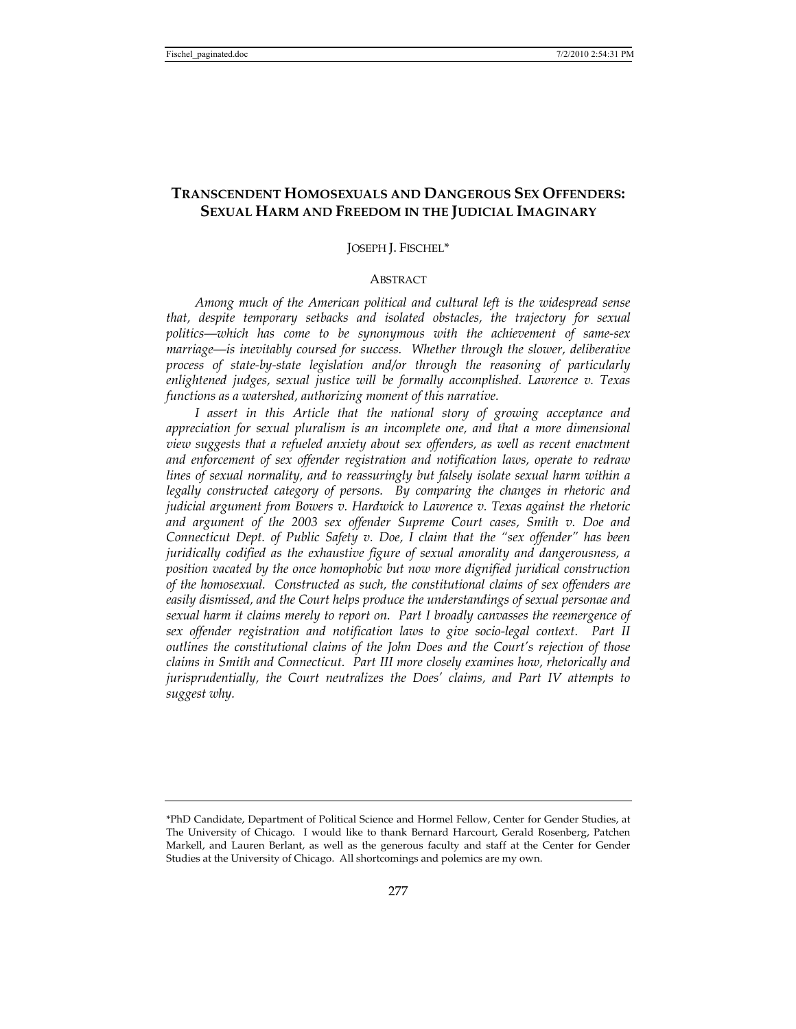# **TRANSCENDENT HOMOSEXUALS AND DANGEROUS SEX OFFENDERS: SEXUAL HARM AND FREEDOM IN THE JUDICIAL IMAGINARY**

## JOSEPH J. FISCHEL\*

# **ABSTRACT**

*Among much of the American political and cultural left is the widespread sense that, despite temporary setbacks and isolated obstacles, the trajectory for sexual politics—which has come to be synonymous with the achievement of same-sex marriage—is inevitably coursed for success. Whether through the slower, deliberative process of state-by-state legislation and/or through the reasoning of particularly enlightened judges, sexual justice will be formally accomplished. Lawrence v. Texas functions as a watershed, authorizing moment of this narrative.* 

*I assert in this Article that the national story of growing acceptance and appreciation for sexual pluralism is an incomplete one, and that a more dimensional view suggests that a refueled anxiety about sex offenders, as well as recent enactment and enforcement of sex offender registration and notification laws, operate to redraw lines of sexual normality, and to reassuringly but falsely isolate sexual harm within a legally constructed category of persons. By comparing the changes in rhetoric and judicial argument from Bowers v. Hardwick to Lawrence v. Texas against the rhetoric and argument of the 2003 sex offender Supreme Court cases, Smith v. Doe and Connecticut Dept. of Public Safety v. Doe, I claim that the "sex offender" has been juridically codified as the exhaustive figure of sexual amorality and dangerousness, a position vacated by the once homophobic but now more dignified juridical construction of the homosexual. Constructed as such, the constitutional claims of sex offenders are easily dismissed, and the Court helps produce the understandings of sexual personae and sexual harm it claims merely to report on. Part I broadly canvasses the reemergence of sex offender registration and notification laws to give socio-legal context. Part II outlines the constitutional claims of the John Does and the Court's rejection of those claims in Smith and Connecticut. Part III more closely examines how, rhetorically and jurisprudentially, the Court neutralizes the Does' claims, and Part IV attempts to suggest why.* 

<sup>\*</sup>PhD Candidate, Department of Political Science and Hormel Fellow, Center for Gender Studies, at The University of Chicago. I would like to thank Bernard Harcourt, Gerald Rosenberg, Patchen Markell, and Lauren Berlant, as well as the generous faculty and staff at the Center for Gender Studies at the University of Chicago. All shortcomings and polemics are my own.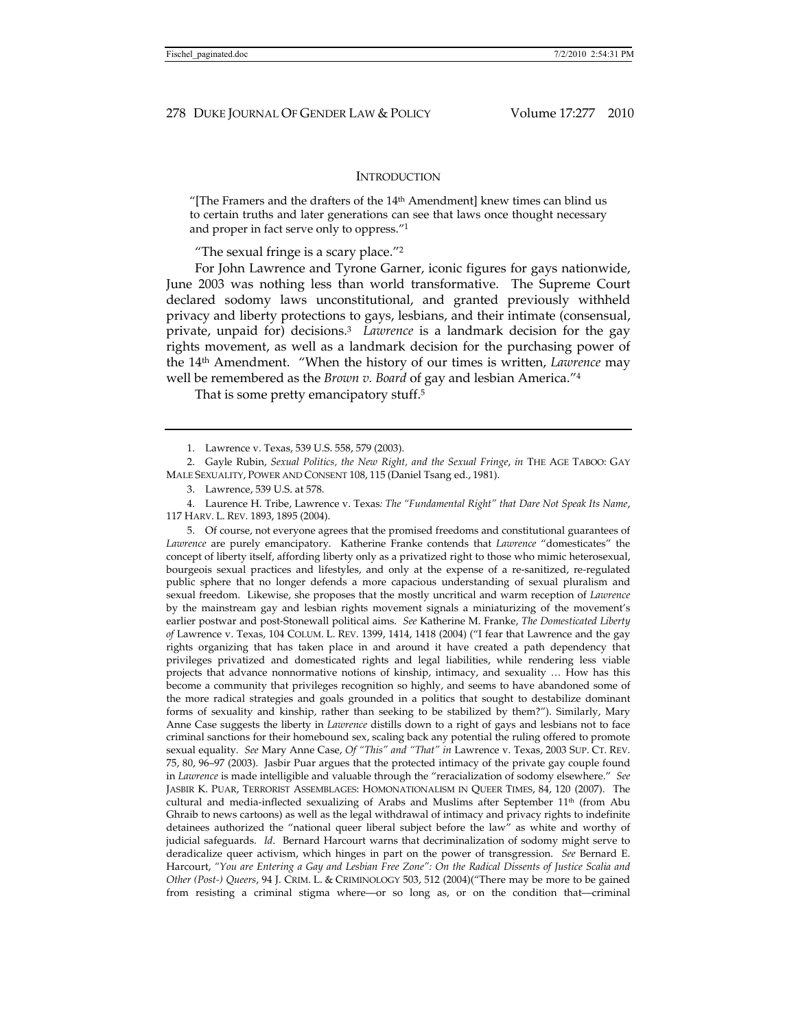# **INTRODUCTION**

"[The Framers and the drafters of the  $14<sup>th</sup>$  Amendment] knew times can blind us to certain truths and later generations can see that laws once thought necessary and proper in fact serve only to oppress."1

"The sexual fringe is a scary place."2

For John Lawrence and Tyrone Garner, iconic figures for gays nationwide, June 2003 was nothing less than world transformative. The Supreme Court declared sodomy laws unconstitutional, and granted previously withheld privacy and liberty protections to gays, lesbians, and their intimate (consensual, private, unpaid for) decisions.3 *Lawrence* is a landmark decision for the gay rights movement, as well as a landmark decision for the purchasing power of the 14th Amendment. "When the history of our times is written, *Lawrence* may well be remembered as the *Brown v. Board* of gay and lesbian America."4

That is some pretty emancipatory stuff.<sup>5</sup>

 5. Of course, not everyone agrees that the promised freedoms and constitutional guarantees of *Lawrence* are purely emancipatory. Katherine Franke contends that *Lawrence* "domesticates" the concept of liberty itself, affording liberty only as a privatized right to those who mimic heterosexual, bourgeois sexual practices and lifestyles, and only at the expense of a re-sanitized, re-regulated public sphere that no longer defends a more capacious understanding of sexual pluralism and sexual freedom. Likewise, she proposes that the mostly uncritical and warm reception of *Lawrence*  by the mainstream gay and lesbian rights movement signals a miniaturizing of the movement's earlier postwar and post-Stonewall political aims. *See* Katherine M. Franke, *The Domesticated Liberty of* Lawrence v. Texas, 104 COLUM. L. REV. 1399, 1414, 1418 (2004) ("I fear that Lawrence and the gay rights organizing that has taken place in and around it have created a path dependency that privileges privatized and domesticated rights and legal liabilities, while rendering less viable projects that advance nonnormative notions of kinship, intimacy, and sexuality … How has this become a community that privileges recognition so highly, and seems to have abandoned some of the more radical strategies and goals grounded in a politics that sought to destabilize dominant forms of sexuality and kinship, rather than seeking to be stabilized by them?"). Similarly, Mary Anne Case suggests the liberty in *Lawrence* distills down to a right of gays and lesbians not to face criminal sanctions for their homebound sex, scaling back any potential the ruling offered to promote sexual equality. *See* Mary Anne Case, *Of "This" and "That" in* Lawrence v. Texas, 2003 SUP. CT. REV. 75, 80, 96–97 (2003). Jasbir Puar argues that the protected intimacy of the private gay couple found in *Lawrence* is made intelligible and valuable through the "reracialization of sodomy elsewhere." *See*  JASBIR K. PUAR, TERRORIST ASSEMBLAGES: HOMONATIONALISM IN QUEER TIMES, 84, 120 (2007). The cultural and media-inflected sexualizing of Arabs and Muslims after September 11th (from Abu Ghraib to news cartoons) as well as the legal withdrawal of intimacy and privacy rights to indefinite detainees authorized the "national queer liberal subject before the law" as white and worthy of judicial safeguards. *Id*. Bernard Harcourt warns that decriminalization of sodomy might serve to deradicalize queer activism, which hinges in part on the power of transgression. *See* Bernard E. Harcourt, *"You are Entering a Gay and Lesbian Free Zone": On the Radical Dissents of Justice Scalia and Other (Post-) Queers*, 94 J. CRIM. L. & CRIMINOLOGY 503, 512 (2004)("There may be more to be gained from resisting a criminal stigma where—or so long as, or on the condition that—criminal

 <sup>1.</sup> Lawrence v. Texas, 539 U.S. 558, 579 (2003).

 <sup>2.</sup> Gayle Rubin, *Sexual Politics, the New Right, and the Sexual Fringe*, *in* THE AGE TABOO: GAY MALE SEXUALITY, POWER AND CONSENT 108, 115 (Daniel Tsang ed., 1981).

 <sup>3.</sup> Lawrence, 539 U.S. at 578.

 <sup>4.</sup> Laurence H. Tribe, Lawrence v. Texas*: The "Fundamental Right" that Dare Not Speak Its Name*, 117 HARV. L. REV. 1893, 1895 (2004).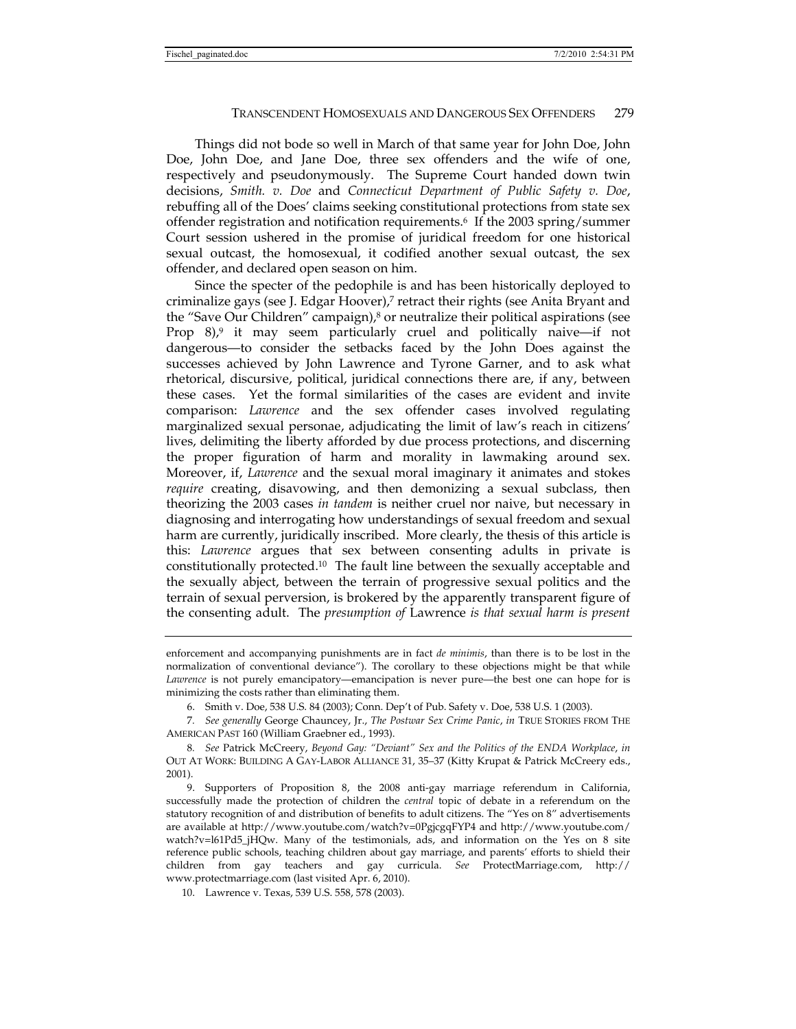Things did not bode so well in March of that same year for John Doe, John Doe, John Doe, and Jane Doe, three sex offenders and the wife of one, respectively and pseudonymously. The Supreme Court handed down twin decisions, *Smith. v. Doe* and *Connecticut Department of Public Safety v. Doe*, rebuffing all of the Does' claims seeking constitutional protections from state sex offender registration and notification requirements.6 If the 2003 spring/summer Court session ushered in the promise of juridical freedom for one historical sexual outcast, the homosexual, it codified another sexual outcast, the sex offender, and declared open season on him.

Since the specter of the pedophile is and has been historically deployed to criminalize gays (see J. Edgar Hoover),7 retract their rights (see Anita Bryant and the "Save Our Children" campaign), $\delta$  or neutralize their political aspirations (see Prop  $8$ ),<sup>9</sup> it may seem particularly cruel and politically naive—if not dangerous—to consider the setbacks faced by the John Does against the successes achieved by John Lawrence and Tyrone Garner, and to ask what rhetorical, discursive, political, juridical connections there are, if any, between these cases. Yet the formal similarities of the cases are evident and invite comparison: *Lawrence* and the sex offender cases involved regulating marginalized sexual personae, adjudicating the limit of law's reach in citizens' lives, delimiting the liberty afforded by due process protections, and discerning the proper figuration of harm and morality in lawmaking around sex. Moreover, if, *Lawrence* and the sexual moral imaginary it animates and stokes *require* creating, disavowing, and then demonizing a sexual subclass, then theorizing the 2003 cases *in tandem* is neither cruel nor naive, but necessary in diagnosing and interrogating how understandings of sexual freedom and sexual harm are currently, juridically inscribed. More clearly, the thesis of this article is this: *Lawrence* argues that sex between consenting adults in private is constitutionally protected.10 The fault line between the sexually acceptable and the sexually abject, between the terrain of progressive sexual politics and the terrain of sexual perversion, is brokered by the apparently transparent figure of the consenting adult. The *presumption of* Lawrence *is that sexual harm is present* 

enforcement and accompanying punishments are in fact *de minimis*, than there is to be lost in the normalization of conventional deviance"). The corollary to these objections might be that while *Lawrence* is not purely emancipatory—emancipation is never pure—the best one can hope for is minimizing the costs rather than eliminating them.

 <sup>6.</sup> Smith v. Doe, 538 U.S. 84 (2003); Conn. Dep't of Pub. Safety v. Doe, 538 U.S. 1 (2003).

<sup>7</sup>*. See generally* George Chauncey, Jr., *The Postwar Sex Crime Panic*, *in* TRUE STORIES FROM THE AMERICAN PAST 160 (William Graebner ed., 1993).

<sup>8</sup>*. See* Patrick McCreery, *Beyond Gay: "Deviant" Sex and the Politics of the ENDA Workplace*, *in* OUT AT WORK: BUILDING A GAY-LABOR ALLIANCE 31, 35–37 (Kitty Krupat & Patrick McCreery eds., 2001).

 <sup>9.</sup> Supporters of Proposition 8, the 2008 anti-gay marriage referendum in California, successfully made the protection of children the *central* topic of debate in a referendum on the statutory recognition of and distribution of benefits to adult citizens. The "Yes on 8" advertisements are available at http://www.youtube.com/watch?v=0PgjcgqFYP4 and http://www.youtube.com/ watch?v=l61Pd5\_jHQw. Many of the testimonials, ads, and information on the Yes on 8 site reference public schools, teaching children about gay marriage, and parents' efforts to shield their children from gay teachers and gay curricula. *See* ProtectMarriage.com, http:// www.protectmarriage.com (last visited Apr. 6, 2010).

 <sup>10.</sup> Lawrence v. Texas, 539 U.S. 558, 578 (2003).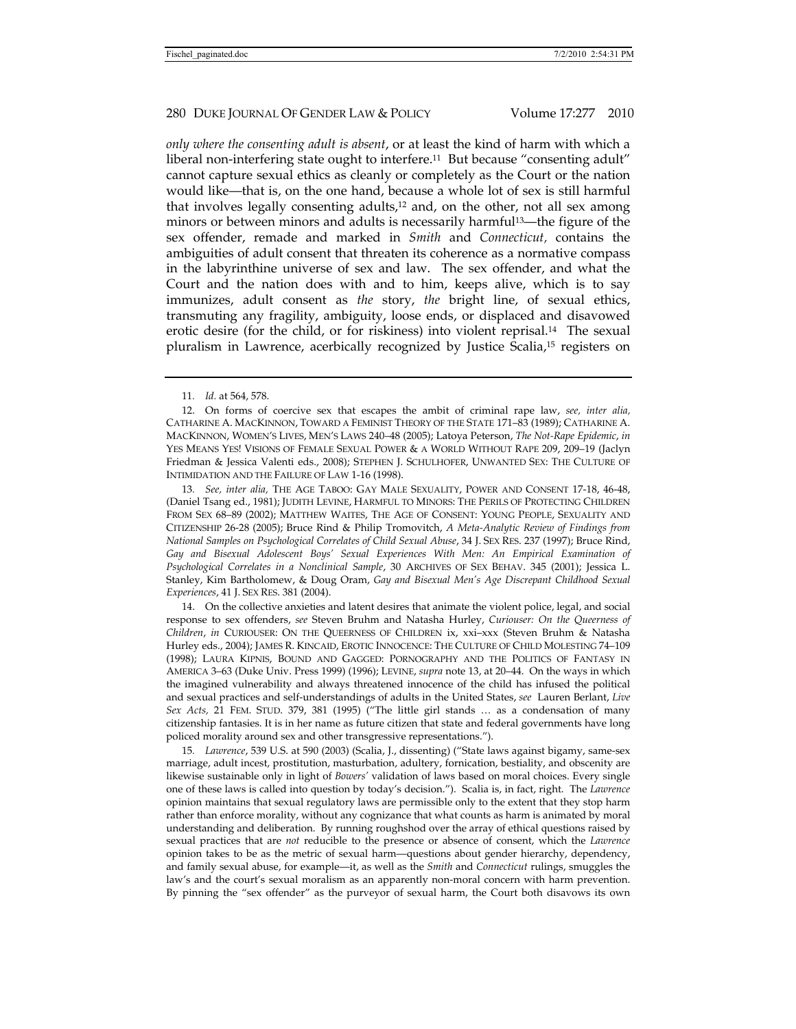*only where the consenting adult is absent*, or at least the kind of harm with which a liberal non-interfering state ought to interfere.<sup>11</sup> But because "consenting adult" cannot capture sexual ethics as cleanly or completely as the Court or the nation would like—that is, on the one hand, because a whole lot of sex is still harmful that involves legally consenting adults,12 and, on the other, not all sex among minors or between minors and adults is necessarily harmful13—the figure of the sex offender, remade and marked in *Smith* and *Connecticut,* contains the ambiguities of adult consent that threaten its coherence as a normative compass in the labyrinthine universe of sex and law. The sex offender, and what the Court and the nation does with and to him, keeps alive, which is to say immunizes, adult consent as *the* story, *the* bright line, of sexual ethics, transmuting any fragility, ambiguity, loose ends, or displaced and disavowed erotic desire (for the child, or for riskiness) into violent reprisal.14 The sexual pluralism in Lawrence, acerbically recognized by Justice Scalia,15 registers on

13*. See, inter alia,* THE AGE TABOO: GAY MALE SEXUALITY, POWER AND CONSENT 17-18, 46-48, (Daniel Tsang ed., 1981); JUDITH LEVINE, HARMFUL TO MINORS: THE PERILS OF PROTECTING CHILDREN FROM SEX 68–89 (2002); MATTHEW WAITES, THE AGE OF CONSENT: YOUNG PEOPLE, SEXUALITY AND CITIZENSHIP 26-28 (2005); Bruce Rind & Philip Tromovitch, *A Meta-Analytic Review of Findings from National Samples on Psychological Correlates of Child Sexual Abuse*, 34 J. SEX RES. 237 (1997); Bruce Rind, Gay and Bisexual Adolescent Boys' Sexual Experiences With Men: An Empirical Examination of *Psychological Correlates in a Nonclinical Sample*, 30 ARCHIVES OF SEX BEHAV. 345 (2001); Jessica L. Stanley, Kim Bartholomew, & Doug Oram, *Gay and Bisexual Men's Age Discrepant Childhood Sexual Experiences*, 41 J. SEX RES. 381 (2004).

 14. On the collective anxieties and latent desires that animate the violent police, legal, and social response to sex offenders, *see* Steven Bruhm and Natasha Hurley, *Curiouser: On the Queerness of Children*, *in* CURIOUSER: ON THE QUEERNESS OF CHILDREN ix, xxi–xxx (Steven Bruhm & Natasha Hurley eds., 2004); JAMES R. KINCAID, EROTIC INNOCENCE: THE CULTURE OF CHILD MOLESTING 74–109 (1998); LAURA KIPNIS, BOUND AND GAGGED: PORNOGRAPHY AND THE POLITICS OF FANTASY IN AMERICA 3–63 (Duke Univ. Press 1999) (1996); LEVINE, *supra* note 13, at 20–44. On the ways in which the imagined vulnerability and always threatened innocence of the child has infused the political and sexual practices and self-understandings of adults in the United States, *see* Lauren Berlant, *Live Sex Acts,* 21 FEM. STUD. 379, 381 (1995) ("The little girl stands … as a condensation of many citizenship fantasies. It is in her name as future citizen that state and federal governments have long policed morality around sex and other transgressive representations.").

15*. Lawrence*, 539 U.S. at 590 (2003) (Scalia, J., dissenting) ("State laws against bigamy, same-sex marriage, adult incest, prostitution, masturbation, adultery, fornication, bestiality, and obscenity are likewise sustainable only in light of *Bowers'* validation of laws based on moral choices. Every single one of these laws is called into question by today's decision."). Scalia is, in fact, right. The *Lawrence*  opinion maintains that sexual regulatory laws are permissible only to the extent that they stop harm rather than enforce morality, without any cognizance that what counts as harm is animated by moral understanding and deliberation. By running roughshod over the array of ethical questions raised by sexual practices that are *not* reducible to the presence or absence of consent, which the *Lawrence*  opinion takes to be as the metric of sexual harm—questions about gender hierarchy, dependency, and family sexual abuse, for example—it, as well as the *Smith* and *Connecticut* rulings, smuggles the law's and the court's sexual moralism as an apparently non-moral concern with harm prevention. By pinning the "sex offender" as the purveyor of sexual harm, the Court both disavows its own

<sup>11</sup>*. Id.* at 564, 578.

 <sup>12.</sup> On forms of coercive sex that escapes the ambit of criminal rape law, *see, inter alia,*  CATHARINE A. MACKINNON, TOWARD A FEMINIST THEORY OF THE STATE 171–83 (1989); CATHARINE A. MACKINNON, WOMEN'S LIVES, MEN'S LAWS 240–48 (2005); Latoya Peterson, *The Not-Rape Epidemic*, *in* YES MEANS YES! VISIONS OF FEMALE SEXUAL POWER & A WORLD WITHOUT RAPE 209, 209–19 (Jaclyn Friedman & Jessica Valenti eds., 2008); STEPHEN J. SCHULHOFER, UNWANTED SEX: THE CULTURE OF INTIMIDATION AND THE FAILURE OF LAW 1-16 (1998).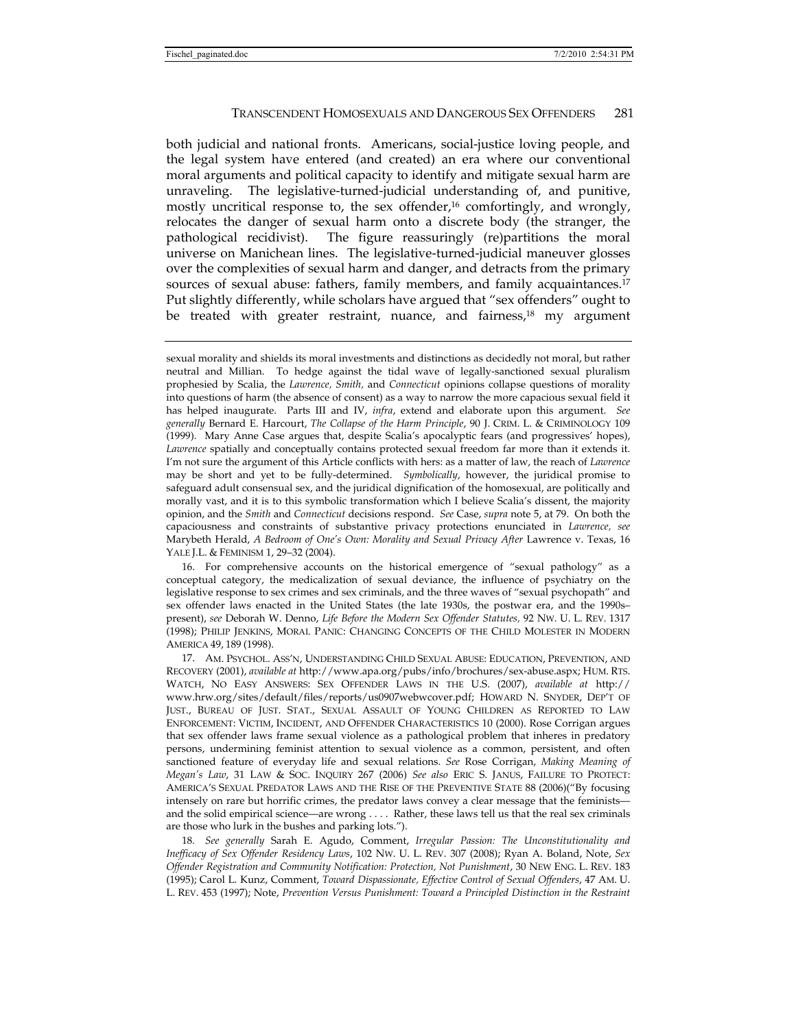both judicial and national fronts. Americans, social-justice loving people, and the legal system have entered (and created) an era where our conventional moral arguments and political capacity to identify and mitigate sexual harm are unraveling. The legislative-turned-judicial understanding of, and punitive, mostly uncritical response to, the sex offender,16 comfortingly, and wrongly, relocates the danger of sexual harm onto a discrete body (the stranger, the pathological recidivist). The figure reassuringly (re)partitions the moral universe on Manichean lines. The legislative-turned-judicial maneuver glosses over the complexities of sexual harm and danger, and detracts from the primary sources of sexual abuse: fathers, family members, and family acquaintances.17 Put slightly differently, while scholars have argued that "sex offenders" ought to be treated with greater restraint, nuance, and fairness,<sup>18</sup> my argument

sexual morality and shields its moral investments and distinctions as decidedly not moral, but rather neutral and Millian. To hedge against the tidal wave of legally-sanctioned sexual pluralism prophesied by Scalia, the *Lawrence, Smith,* and *Connecticut* opinions collapse questions of morality into questions of harm (the absence of consent) as a way to narrow the more capacious sexual field it has helped inaugurate. Parts III and IV, *infra*, extend and elaborate upon this argument. *See generally* Bernard E. Harcourt, *The Collapse of the Harm Principle*, 90 J. CRIM. L. & CRIMINOLOGY 109 (1999). Mary Anne Case argues that, despite Scalia's apocalyptic fears (and progressives' hopes), *Lawrence* spatially and conceptually contains protected sexual freedom far more than it extends it. I'm not sure the argument of this Article conflicts with hers: as a matter of law, the reach of *Lawrence*  may be short and yet to be fully-determined. *Symbolically*, however, the juridical promise to safeguard adult consensual sex, and the juridical dignification of the homosexual, are politically and morally vast, and it is to this symbolic transformation which I believe Scalia's dissent, the majority opinion, and the *Smith* and *Connecticut* decisions respond. *See* Case, *supra* note 5, at 79. On both the capaciousness and constraints of substantive privacy protections enunciated in *Lawrence, see* Marybeth Herald, *A Bedroom of One's Own: Morality and Sexual Privacy After* Lawrence v. Texas, 16 YALE J.L. & FEMINISM 1, 29–32 (2004).

 16. For comprehensive accounts on the historical emergence of "sexual pathology" as a conceptual category, the medicalization of sexual deviance, the influence of psychiatry on the legislative response to sex crimes and sex criminals, and the three waves of "sexual psychopath" and sex offender laws enacted in the United States (the late 1930s, the postwar era, and the 1990s– present), *see* Deborah W. Denno, *Life Before the Modern Sex Offender Statutes,* 92 NW. U. L. REV. 1317 (1998); PHILIP JENKINS, MORAL PANIC: CHANGING CONCEPTS OF THE CHILD MOLESTER IN MODERN AMERICA 49, 189 (1998).

 17. AM. PSYCHOL. ASS'N, UNDERSTANDING CHILD SEXUAL ABUSE: EDUCATION, PREVENTION, AND RECOVERY (2001), *available at* http://www.apa.org/pubs/info/brochures/sex-abuse.aspx; HUM. RTS. WATCH, NO EASY ANSWERS: SEX OFFENDER LAWS IN THE U.S. (2007), *available at* http:// www.hrw.org/sites/default/files/reports/us0907webwcover.pdf; HOWARD N. SNYDER, DEP'T OF JUST., BUREAU OF JUST. STAT., SEXUAL ASSAULT OF YOUNG CHILDREN AS REPORTED TO LAW ENFORCEMENT: VICTIM, INCIDENT, AND OFFENDER CHARACTERISTICS 10 (2000). Rose Corrigan argues that sex offender laws frame sexual violence as a pathological problem that inheres in predatory persons, undermining feminist attention to sexual violence as a common, persistent, and often sanctioned feature of everyday life and sexual relations. *See* Rose Corrigan, *Making Meaning of Megan's Law*, 31 LAW & SOC. INQUIRY 267 (2006) *See also* ERIC S. JANUS, FAILURE TO PROTECT: AMERICA'S SEXUAL PREDATOR LAWS AND THE RISE OF THE PREVENTIVE STATE 88 (2006)("By focusing intensely on rare but horrific crimes, the predator laws convey a clear message that the feminists and the solid empirical science—are wrong . . . . Rather, these laws tell us that the real sex criminals are those who lurk in the bushes and parking lots.").

18*. See generally* Sarah E. Agudo, Comment, *Irregular Passion: The Unconstitutionality and Inefficacy of Sex Offender Residency Laws*, 102 NW. U. L. REV. 307 (2008); Ryan A. Boland, Note, *Sex Offender Registration and Community Notification: Protection, Not Punishment*, 30 NEW ENG. L. REV. 183 (1995); Carol L. Kunz, Comment, *Toward Dispassionate, Effective Control of Sexual Offenders*, 47 AM. U. L. REV. 453 (1997); Note, *Prevention Versus Punishment: Toward a Principled Distinction in the Restraint*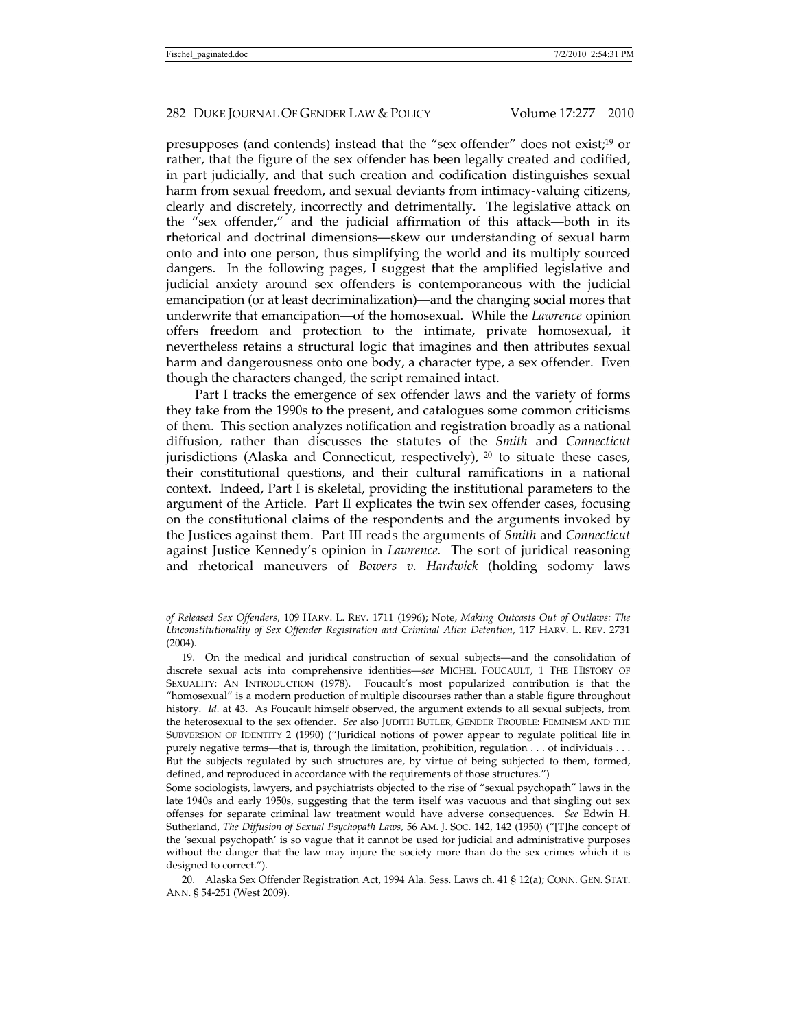presupposes (and contends) instead that the "sex offender" does not exist;19 or rather, that the figure of the sex offender has been legally created and codified, in part judicially, and that such creation and codification distinguishes sexual harm from sexual freedom, and sexual deviants from intimacy-valuing citizens, clearly and discretely, incorrectly and detrimentally. The legislative attack on the "sex offender," and the judicial affirmation of this attack—both in its rhetorical and doctrinal dimensions—skew our understanding of sexual harm onto and into one person, thus simplifying the world and its multiply sourced dangers. In the following pages, I suggest that the amplified legislative and judicial anxiety around sex offenders is contemporaneous with the judicial emancipation (or at least decriminalization)—and the changing social mores that underwrite that emancipation—of the homosexual. While the *Lawrence* opinion offers freedom and protection to the intimate, private homosexual, it nevertheless retains a structural logic that imagines and then attributes sexual harm and dangerousness onto one body, a character type, a sex offender. Even though the characters changed, the script remained intact.

Part I tracks the emergence of sex offender laws and the variety of forms they take from the 1990s to the present, and catalogues some common criticisms of them. This section analyzes notification and registration broadly as a national diffusion, rather than discusses the statutes of the *Smith* and *Connecticut*  jurisdictions (Alaska and Connecticut, respectively),  $^{20}$  to situate these cases, their constitutional questions, and their cultural ramifications in a national context. Indeed, Part I is skeletal, providing the institutional parameters to the argument of the Article. Part II explicates the twin sex offender cases, focusing on the constitutional claims of the respondents and the arguments invoked by the Justices against them. Part III reads the arguments of *Smith* and *Connecticut*  against Justice Kennedy's opinion in *Lawrence.* The sort of juridical reasoning and rhetorical maneuvers of *Bowers v. Hardwick* (holding sodomy laws

*of Released Sex Offenders,* 109 HARV. L. REV*.* 1711 (1996); Note, *Making Outcasts Out of Outlaws: The Unconstitutionality of Sex Offender Registration and Criminal Alien Detention,* 117 HARV. L. REV. 2731 (2004).

 <sup>19.</sup> On the medical and juridical construction of sexual subjects—and the consolidation of discrete sexual acts into comprehensive identities—*see* MICHEL FOUCAULT, 1 THE HISTORY OF SEXUALITY: AN INTRODUCTION (1978). Foucault's most popularized contribution is that the "homosexual" is a modern production of multiple discourses rather than a stable figure throughout history. *Id.* at 43. As Foucault himself observed, the argument extends to all sexual subjects, from the heterosexual to the sex offender. *See* also JUDITH BUTLER, GENDER TROUBLE: FEMINISM AND THE SUBVERSION OF IDENTITY 2 (1990) ("Juridical notions of power appear to regulate political life in purely negative terms—that is, through the limitation, prohibition, regulation . . . of individuals . . . But the subjects regulated by such structures are, by virtue of being subjected to them, formed, defined, and reproduced in accordance with the requirements of those structures.")

Some sociologists, lawyers, and psychiatrists objected to the rise of "sexual psychopath" laws in the late 1940s and early 1950s, suggesting that the term itself was vacuous and that singling out sex offenses for separate criminal law treatment would have adverse consequences. *See* Edwin H. Sutherland, *The Diffusion of Sexual Psychopath Laws,* 56 AM. J. SOC. 142, 142 (1950) ("[T]he concept of the 'sexual psychopath' is so vague that it cannot be used for judicial and administrative purposes without the danger that the law may injure the society more than do the sex crimes which it is designed to correct.").

 <sup>20.</sup> Alaska Sex Offender Registration Act, 1994 Ala. Sess. Laws ch. 41 § 12(a); CONN. GEN. STAT. ANN. § 54-251 (West 2009).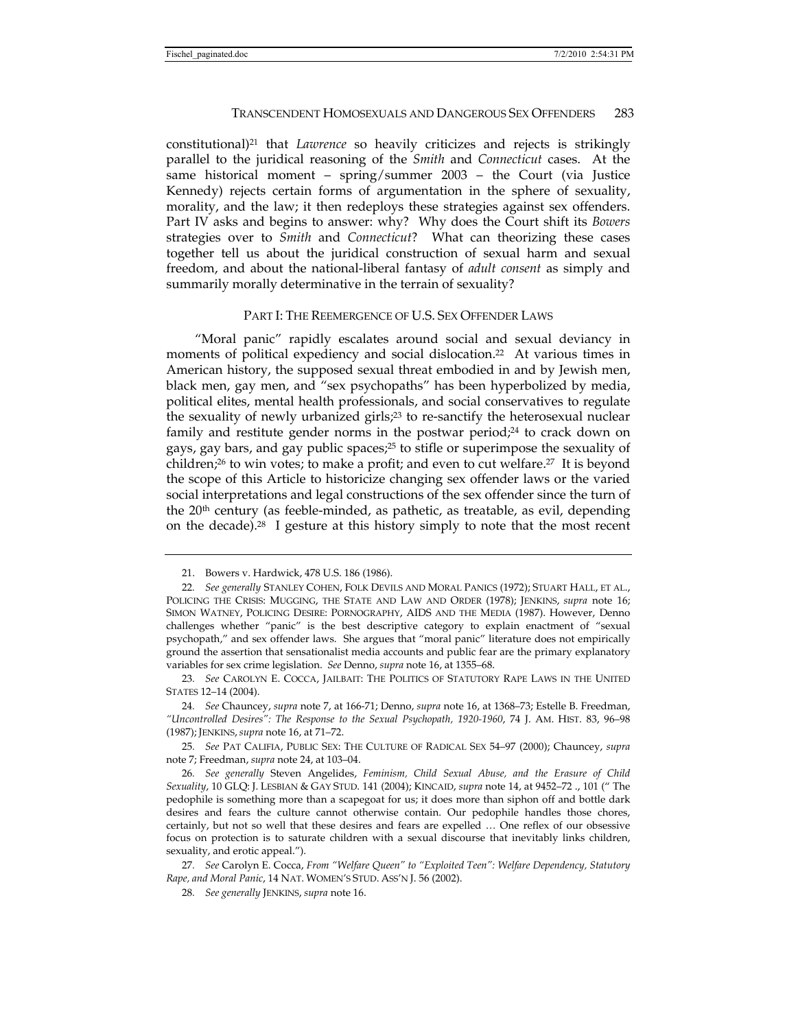constitutional)21 that *Lawrence* so heavily criticizes and rejects is strikingly parallel to the juridical reasoning of the *Smith* and *Connecticut* cases. At the same historical moment – spring/summer 2003 – the Court (via Justice Kennedy) rejects certain forms of argumentation in the sphere of sexuality, morality, and the law; it then redeploys these strategies against sex offenders. Part IV asks and begins to answer: why? Why does the Court shift its *Bowers*  strategies over to *Smith* and *Connecticut*? What can theorizing these cases together tell us about the juridical construction of sexual harm and sexual freedom, and about the national-liberal fantasy of *adult consent* as simply and summarily morally determinative in the terrain of sexuality?

### PART I: THE REEMERGENCE OF U.S. SEX OFFENDER LAWS

"Moral panic" rapidly escalates around social and sexual deviancy in moments of political expediency and social dislocation.22 At various times in American history, the supposed sexual threat embodied in and by Jewish men, black men, gay men, and "sex psychopaths" has been hyperbolized by media, political elites, mental health professionals, and social conservatives to regulate the sexuality of newly urbanized girls;23 to re-sanctify the heterosexual nuclear family and restitute gender norms in the postwar period;<sup>24</sup> to crack down on gays, gay bars, and gay public spaces;25 to stifle or superimpose the sexuality of children;<sup>26</sup> to win votes; to make a profit; and even to cut welfare.<sup>27</sup> It is beyond the scope of this Article to historicize changing sex offender laws or the varied social interpretations and legal constructions of the sex offender since the turn of the  $20<sup>th</sup>$  century (as feeble-minded, as pathetic, as treatable, as evil, depending on the decade).28 I gesture at this history simply to note that the most recent

 <sup>21.</sup> Bowers v. Hardwick, 478 U.S. 186 (1986).

<sup>22</sup>*. See generally* STANLEY COHEN, FOLK DEVILS AND MORAL PANICS (1972); STUART HALL, ET AL., POLICING THE CRISIS: MUGGING, THE STATE AND LAW AND ORDER (1978); JENKINS, *supra* note 16; SIMON WATNEY, POLICING DESIRE: PORNOGRAPHY, AIDS AND THE MEDIA (1987). However, Denno challenges whether "panic" is the best descriptive category to explain enactment of "sexual psychopath," and sex offender laws. She argues that "moral panic" literature does not empirically ground the assertion that sensationalist media accounts and public fear are the primary explanatory variables for sex crime legislation. *See* Denno, *supra* note 16, at 1355–68.

<sup>23</sup>*. See* CAROLYN E. COCCA, JAILBAIT: THE POLITICS OF STATUTORY RAPE LAWS IN THE UNITED STATES 12–14 (2004).

<sup>24</sup>*. See* Chauncey, *supra* note 7, at 166-71; Denno, *supra* note 16, at 1368–73; Estelle B. Freedman, *"Uncontrolled Desires": The Response to the Sexual Psychopath, 1920-1960*, 74 J. AM. HIST. 83, 96–98 (1987); JENKINS, *supra* note 16, at 71–72.

<sup>25</sup>*. See* PAT CALIFIA, PUBLIC SEX: THE CULTURE OF RADICAL SEX 54–97 (2000); Chauncey, *supra*  note 7; Freedman, *supra* note 24, at 103–04.

<sup>26</sup>*. See generally* Steven Angelides, *Feminism, Child Sexual Abuse, and the Erasure of Child Sexuality*, 10 GLQ: J. LESBIAN & GAY STUD. 141 (2004); KINCAID, *supra* note 14, at 9452–72 ., 101 (" The pedophile is something more than a scapegoat for us; it does more than siphon off and bottle dark desires and fears the culture cannot otherwise contain. Our pedophile handles those chores, certainly, but not so well that these desires and fears are expelled … One reflex of our obsessive focus on protection is to saturate children with a sexual discourse that inevitably links children, sexuality, and erotic appeal.").

<sup>27</sup>*. See* Carolyn E. Cocca, *From "Welfare Queen" to "Exploited Teen": Welfare Dependency, Statutory Rape, and Moral Panic*, 14 NAT. WOMEN'S STUD. ASS'N J. 56 (2002).

<sup>28</sup>*. See generally* JENKINS, *supra* note 16.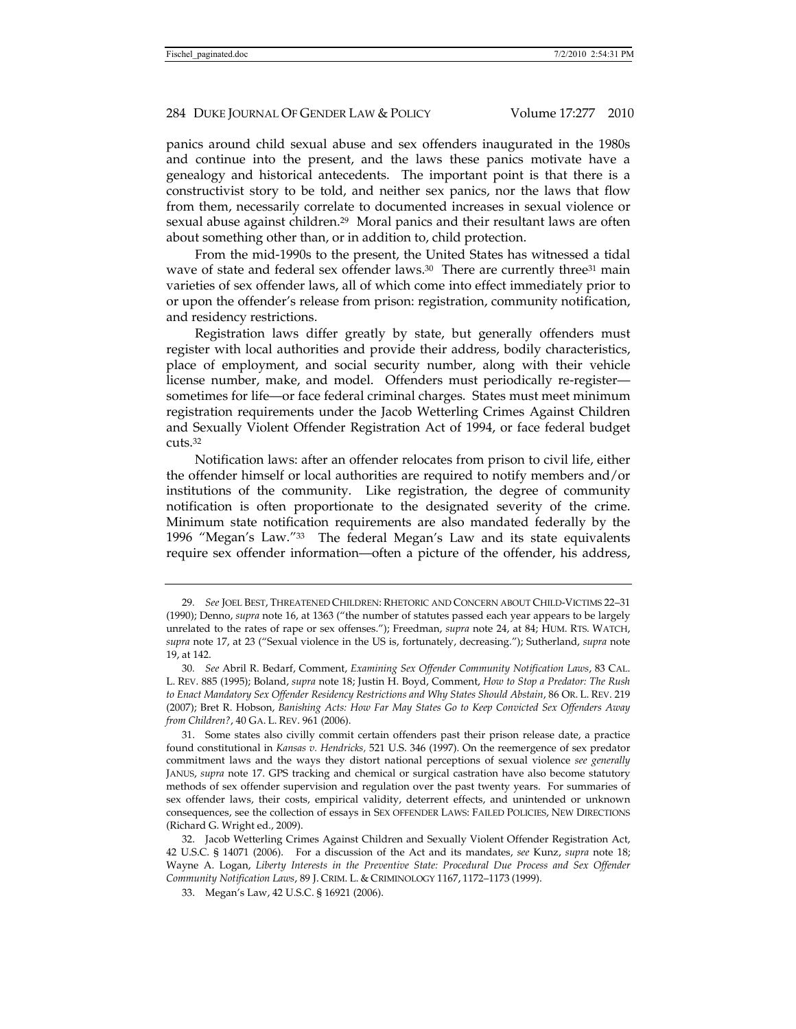panics around child sexual abuse and sex offenders inaugurated in the 1980s and continue into the present, and the laws these panics motivate have a genealogy and historical antecedents. The important point is that there is a constructivist story to be told, and neither sex panics, nor the laws that flow from them, necessarily correlate to documented increases in sexual violence or sexual abuse against children.29 Moral panics and their resultant laws are often about something other than, or in addition to, child protection.

From the mid-1990s to the present, the United States has witnessed a tidal wave of state and federal sex offender laws.<sup>30</sup> There are currently three<sup>31</sup> main varieties of sex offender laws, all of which come into effect immediately prior to or upon the offender's release from prison: registration, community notification, and residency restrictions.

Registration laws differ greatly by state, but generally offenders must register with local authorities and provide their address, bodily characteristics, place of employment, and social security number, along with their vehicle license number, make, and model. Offenders must periodically re-register sometimes for life—or face federal criminal charges. States must meet minimum registration requirements under the Jacob Wetterling Crimes Against Children and Sexually Violent Offender Registration Act of 1994, or face federal budget cuts.32

Notification laws: after an offender relocates from prison to civil life, either the offender himself or local authorities are required to notify members and/or institutions of the community. Like registration, the degree of community notification is often proportionate to the designated severity of the crime. Minimum state notification requirements are also mandated federally by the 1996 "Megan's Law."33 The federal Megan's Law and its state equivalents require sex offender information—often a picture of the offender, his address,

<sup>29</sup>*. See* JOEL BEST, THREATENED CHILDREN: RHETORIC AND CONCERN ABOUT CHILD-VICTIMS 22–31 (1990); Denno, *supra* note 16, at 1363 ("the number of statutes passed each year appears to be largely unrelated to the rates of rape or sex offenses."); Freedman, *supra* note 24, at 84; HUM. RTS. WATCH, *supra* note 17, at 23 ("Sexual violence in the US is, fortunately, decreasing."); Sutherland, *supra* note 19, at 142.

<sup>30</sup>*. See* Abril R. Bedarf, Comment, *Examining Sex Offender Community Notification Laws*, 83 CAL. L. REV. 885 (1995); Boland, *supra* note 18; Justin H. Boyd, Comment, *How to Stop a Predator: The Rush to Enact Mandatory Sex Offender Residency Restrictions and Why States Should Abstain*, 86 OR. L. REV. 219 (2007); Bret R. Hobson, *Banishing Acts: How Far May States Go to Keep Convicted Sex Offenders Away from Children?*, 40 GA. L. REV. 961 (2006).

 <sup>31.</sup> Some states also civilly commit certain offenders past their prison release date, a practice found constitutional in *Kansas v. Hendricks,* 521 U.S. 346 (1997). On the reemergence of sex predator commitment laws and the ways they distort national perceptions of sexual violence *see generally*  JANUS, *supra* note 17. GPS tracking and chemical or surgical castration have also become statutory methods of sex offender supervision and regulation over the past twenty years. For summaries of sex offender laws, their costs, empirical validity, deterrent effects, and unintended or unknown consequences, see the collection of essays in SEX OFFENDER LAWS: FAILED POLICIES, NEW DIRECTIONS (Richard G. Wright ed., 2009).

 <sup>32.</sup> Jacob Wetterling Crimes Against Children and Sexually Violent Offender Registration Act, 42 U.S.C. § 14071 (2006). For a discussion of the Act and its mandates, *see* Kunz, *supra* note 18; Wayne A. Logan, *Liberty Interests in the Preventive State: Procedural Due Process and Sex Offender Community Notification Laws*, 89 J. CRIM. L. & CRIMINOLOGY 1167, 1172–1173 (1999).

 <sup>33.</sup> Megan's Law, 42 U.S.C. § 16921 (2006).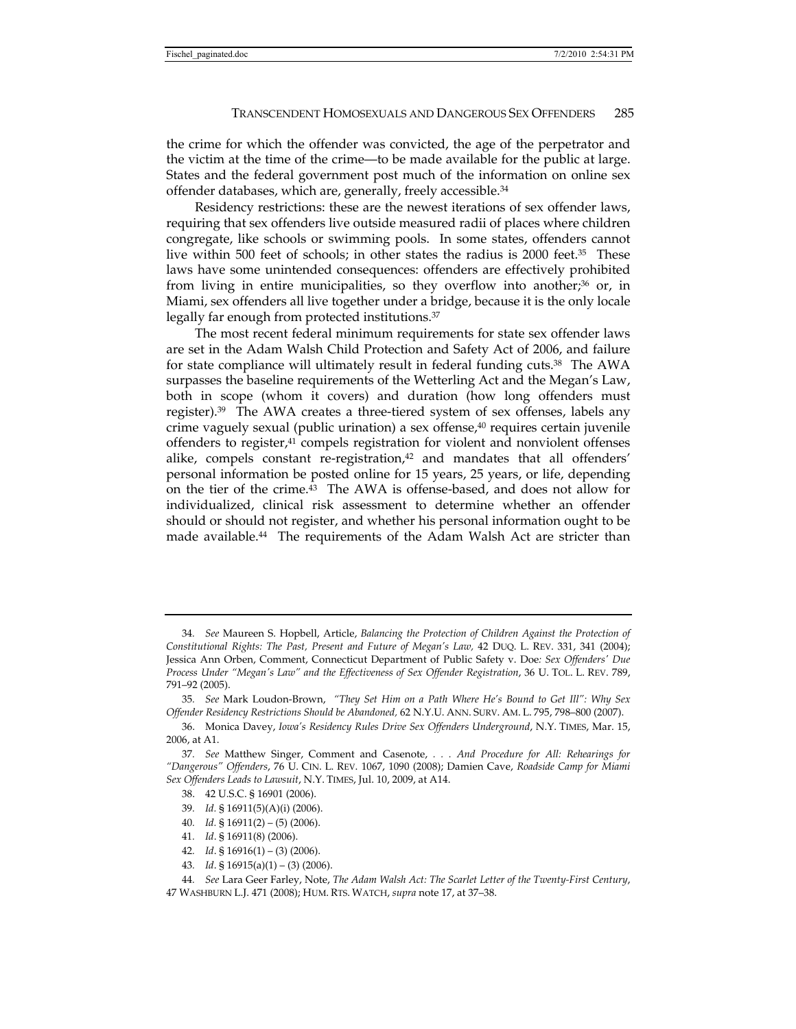the crime for which the offender was convicted, the age of the perpetrator and the victim at the time of the crime—to be made available for the public at large. States and the federal government post much of the information on online sex offender databases, which are, generally, freely accessible.34

Residency restrictions: these are the newest iterations of sex offender laws, requiring that sex offenders live outside measured radii of places where children congregate, like schools or swimming pools. In some states, offenders cannot live within 500 feet of schools; in other states the radius is 2000 feet.35 These laws have some unintended consequences: offenders are effectively prohibited from living in entire municipalities, so they overflow into another;<sup>36</sup> or, in Miami, sex offenders all live together under a bridge, because it is the only locale legally far enough from protected institutions.<sup>37</sup>

The most recent federal minimum requirements for state sex offender laws are set in the Adam Walsh Child Protection and Safety Act of 2006, and failure for state compliance will ultimately result in federal funding cuts.38 The AWA surpasses the baseline requirements of the Wetterling Act and the Megan's Law, both in scope (whom it covers) and duration (how long offenders must register).39 The AWA creates a three-tiered system of sex offenses, labels any crime vaguely sexual (public urination) a sex offense, $40$  requires certain juvenile offenders to register, $41$  compels registration for violent and nonviolent offenses alike, compels constant re-registration, $42$  and mandates that all offenders' personal information be posted online for 15 years, 25 years, or life, depending on the tier of the crime.43 The AWA is offense-based, and does not allow for individualized, clinical risk assessment to determine whether an offender should or should not register, and whether his personal information ought to be made available.<sup>44</sup> The requirements of the Adam Walsh Act are stricter than

- 38. 42 U.S.C. § 16901 (2006).
- 39*. Id.* § 16911(5)(A)(i) (2006).
- 40*. Id.* § 16911(2) (5) (2006).
- 41*. Id*. § 16911(8) (2006).
- 42*. Id*. § 16916(1) (3) (2006).
- 43*. Id*. § 16915(a)(1) (3) (2006).

47 WASHBURN L.J. 471 (2008); HUM. RTS. WATCH, *supra* note 17, at 37–38.

<sup>34</sup>*. See* Maureen S. Hopbell, Article, *Balancing the Protection of Children Against the Protection of Constitutional Rights: The Past, Present and Future of Megan's Law,* 42 DUQ. L. REV. 331, 341 (2004); Jessica Ann Orben, Comment, Connecticut Department of Public Safety v. Doe*: Sex Offenders' Due Process Under "Megan's Law" and the Effectiveness of Sex Offender Registration*, 36 U. TOL. L. REV. 789, 791–92 (2005).

<sup>35</sup>*. See* Mark Loudon-Brown, *"They Set Him on a Path Where He's Bound to Get Ill": Why Sex Offender Residency Restrictions Should be Abandoned,* 62 N.Y.U. ANN. SURV. AM. L. 795, 798–800 (2007).

 <sup>36.</sup> Monica Davey, *Iowa's Residency Rules Drive Sex Offenders Underground*, N.Y. TIMES, Mar. 15, 2006, at A1.

<sup>37</sup>*. See* Matthew Singer, Comment and Casenote, *. . . And Procedure for All: Rehearings for "Dangerous" Offenders*, 76 U. CIN. L. REV. 1067, 1090 (2008); Damien Cave, *Roadside Camp for Miami Sex Offenders Leads to Lawsuit*, N.Y. TIMES, Jul. 10, 2009, at A14.

<sup>44</sup>*. See* Lara Geer Farley, Note, *The Adam Walsh Act: The Scarlet Letter of the Twenty-First Century*,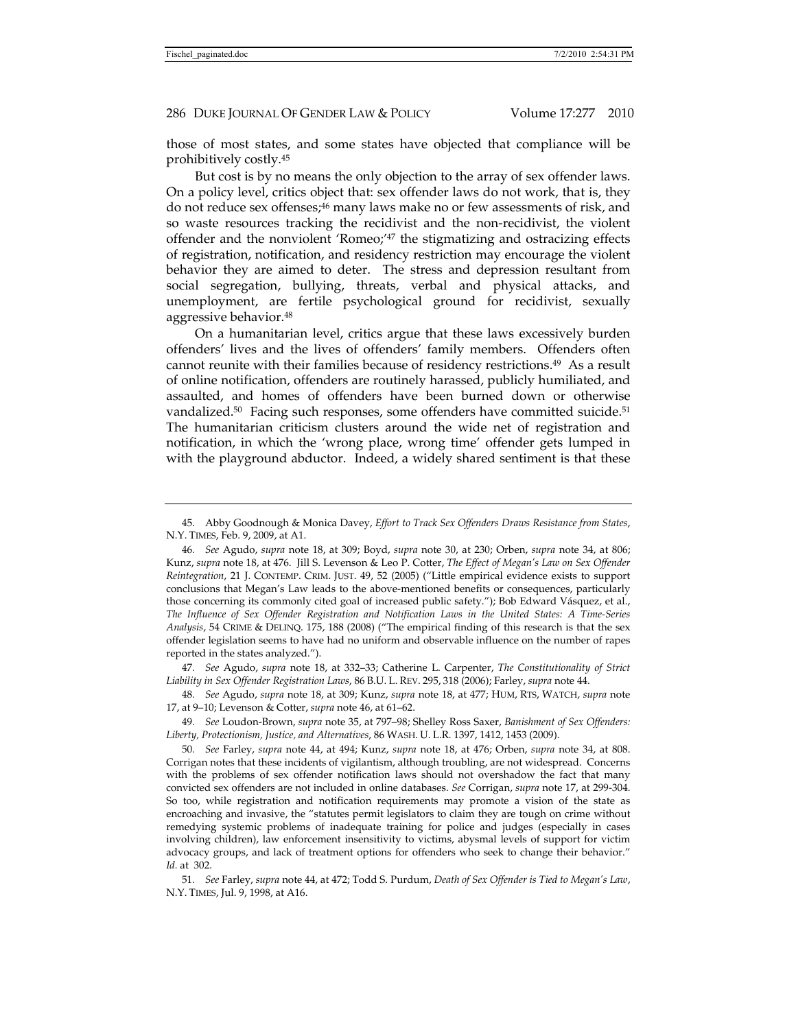those of most states, and some states have objected that compliance will be prohibitively costly.45

But cost is by no means the only objection to the array of sex offender laws. On a policy level, critics object that: sex offender laws do not work, that is, they do not reduce sex offenses;<sup>46</sup> many laws make no or few assessments of risk, and so waste resources tracking the recidivist and the non-recidivist, the violent offender and the nonviolent 'Romeo;'47 the stigmatizing and ostracizing effects of registration, notification, and residency restriction may encourage the violent behavior they are aimed to deter. The stress and depression resultant from social segregation, bullying, threats, verbal and physical attacks, and unemployment, are fertile psychological ground for recidivist, sexually aggressive behavior.48

On a humanitarian level, critics argue that these laws excessively burden offenders' lives and the lives of offenders' family members. Offenders often cannot reunite with their families because of residency restrictions.49 As a result of online notification, offenders are routinely harassed, publicly humiliated, and assaulted, and homes of offenders have been burned down or otherwise vandalized.<sup>50</sup> Facing such responses, some offenders have committed suicide.<sup>51</sup> The humanitarian criticism clusters around the wide net of registration and notification, in which the 'wrong place, wrong time' offender gets lumped in with the playground abductor. Indeed, a widely shared sentiment is that these

47*. See* Agudo, *supra* note 18, at 332–33; Catherine L. Carpenter, *The Constitutionality of Strict Liability in Sex Offender Registration Laws*, 86 B.U. L. REV. 295, 318 (2006); Farley, *supra* note 44.

49*. See* Loudon-Brown, *supra* note 35, at 797–98; Shelley Ross Saxer, *Banishment of Sex Offenders: Liberty, Protectionism, Justice, and Alternatives*, 86 WASH. U. L.R. 1397, 1412, 1453 (2009).

50*. See* Farley, *supra* note 44, at 494; Kunz, *supra* note 18, at 476; Orben, *supra* note 34, at 808. Corrigan notes that these incidents of vigilantism, although troubling, are not widespread. Concerns with the problems of sex offender notification laws should not overshadow the fact that many convicted sex offenders are not included in online databases. *See* Corrigan, *supra* note 17, at 299-304. So too, while registration and notification requirements may promote a vision of the state as encroaching and invasive, the "statutes permit legislators to claim they are tough on crime without remedying systemic problems of inadequate training for police and judges (especially in cases involving children), law enforcement insensitivity to victims, abysmal levels of support for victim advocacy groups, and lack of treatment options for offenders who seek to change their behavior." *Id.* at 302.

51*. See* Farley, *supra* note 44, at 472; Todd S. Purdum, *Death of Sex Offender is Tied to Megan's Law*, N.Y. TIMES, Jul. 9, 1998, at A16.

 <sup>45.</sup> Abby Goodnough & Monica Davey, *Effort to Track Sex Offenders Draws Resistance from States*, N.Y. TIMES, Feb. 9, 2009, at A1.

<sup>46</sup>*. See* Agudo, *supra* note 18, at 309; Boyd, *supra* note 30, at 230; Orben, *supra* note 34, at 806; Kunz, *supra* note 18, at 476. Jill S. Levenson & Leo P. Cotter, *The Effect of Megan's Law on Sex Offender Reintegration*, 21 J. CONTEMP. CRIM. JUST. 49, 52 (2005) ("Little empirical evidence exists to support conclusions that Megan's Law leads to the above-mentioned benefits or consequences, particularly those concerning its commonly cited goal of increased public safety."); Bob Edward Vásquez, et al., *The Influence of Sex Offender Registration and Notification Laws in the United States: A Time-Series Analysis*, 54 CRIME & DELINQ. 175, 188 (2008) ("The empirical finding of this research is that the sex offender legislation seems to have had no uniform and observable influence on the number of rapes reported in the states analyzed.").

<sup>48</sup>*. See* Agudo, *supra* note 18, at 309; Kunz, *supra* note 18, at 477; HUM, RTS, WATCH, *supra* note 17, at 9–10; Levenson & Cotter, *supra* note 46, at 61–62.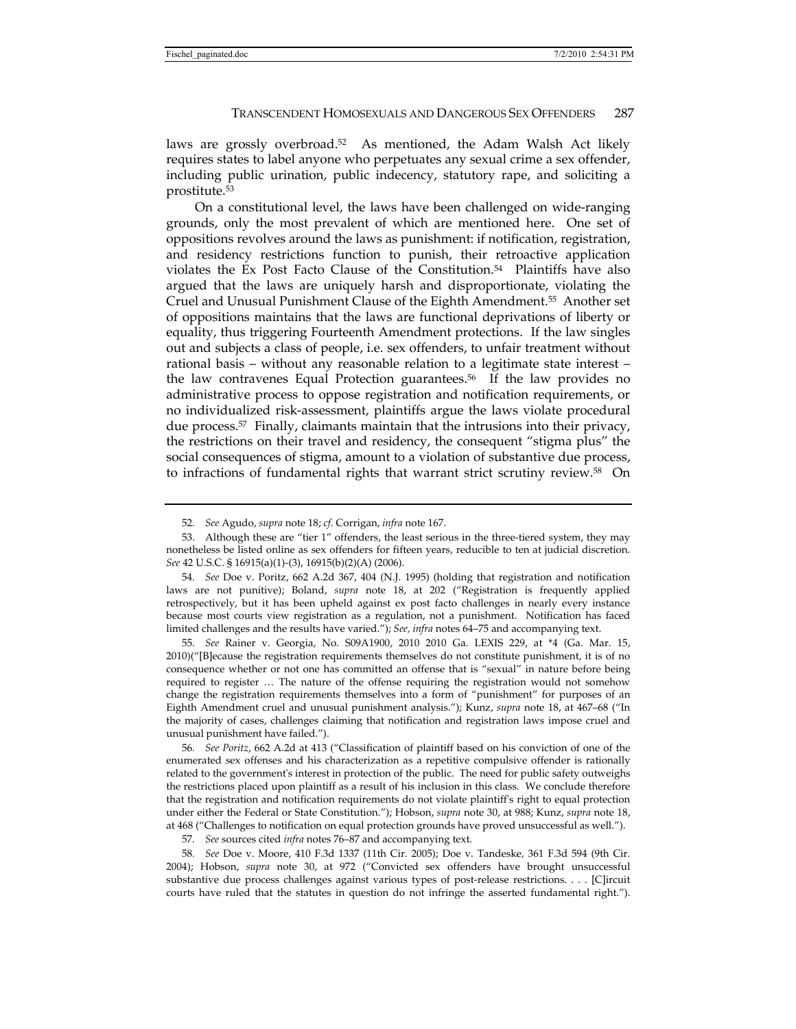laws are grossly overbroad.52 As mentioned, the Adam Walsh Act likely requires states to label anyone who perpetuates any sexual crime a sex offender, including public urination, public indecency, statutory rape, and soliciting a prostitute.53

On a constitutional level, the laws have been challenged on wide-ranging grounds, only the most prevalent of which are mentioned here. One set of oppositions revolves around the laws as punishment: if notification, registration, and residency restrictions function to punish, their retroactive application violates the Ex Post Facto Clause of the Constitution.54 Plaintiffs have also argued that the laws are uniquely harsh and disproportionate, violating the Cruel and Unusual Punishment Clause of the Eighth Amendment.55 Another set of oppositions maintains that the laws are functional deprivations of liberty or equality, thus triggering Fourteenth Amendment protections. If the law singles out and subjects a class of people, i.e. sex offenders, to unfair treatment without rational basis – without any reasonable relation to a legitimate state interest – the law contravenes Equal Protection guarantees.56 If the law provides no administrative process to oppose registration and notification requirements, or no individualized risk-assessment, plaintiffs argue the laws violate procedural due process.57 Finally, claimants maintain that the intrusions into their privacy, the restrictions on their travel and residency, the consequent "stigma plus" the social consequences of stigma, amount to a violation of substantive due process, to infractions of fundamental rights that warrant strict scrutiny review.58 On

54*. See* Doe v. Poritz, 662 A.2d 367, 404 (N.J. 1995) (holding that registration and notification laws are not punitive); Boland, *supra* note 18, at 202 ("Registration is frequently applied retrospectively, but it has been upheld against ex post facto challenges in nearly every instance because most courts view registration as a regulation, not a punishment. Notification has faced limited challenges and the results have varied."); *See, infra* notes 64–75 and accompanying text.

55*. See* Rainer v. Georgia, No. S09A1900, 2010 2010 Ga. LEXIS 229, at \*4 (Ga. Mar. 15, 2010)("[B]ecause the registration requirements themselves do not constitute punishment, it is of no consequence whether or not one has committed an offense that is "sexual" in nature before being required to register … The nature of the offense requiring the registration would not somehow change the registration requirements themselves into a form of "punishment" for purposes of an Eighth Amendment cruel and unusual punishment analysis."); Kunz, *supra* note 18, at 467–68 ("In the majority of cases, challenges claiming that notification and registration laws impose cruel and unusual punishment have failed.").

56*. See Poritz*, 662 A.2d at 413 ("Classification of plaintiff based on his conviction of one of the enumerated sex offenses and his characterization as a repetitive compulsive offender is rationally related to the government's interest in protection of the public. The need for public safety outweighs the restrictions placed upon plaintiff as a result of his inclusion in this class. We conclude therefore that the registration and notification requirements do not violate plaintiff's right to equal protection under either the Federal or State Constitution."); Hobson, *supra* note 30, at 988; Kunz, *supra* note 18, at 468 ("Challenges to notification on equal protection grounds have proved unsuccessful as well.").

57*. See* sources cited *infra* notes 76–87 and accompanying text.

58*. See* Doe v. Moore, 410 F.3d 1337 (11th Cir. 2005); Doe v. Tandeske*,* 361 F.3d 594 (9th Cir. 2004); Hobson, *supra* note 30, at 972 ("Convicted sex offenders have brought unsuccessful substantive due process challenges against various types of post-release restrictions. . . . [C]ircuit courts have ruled that the statutes in question do not infringe the asserted fundamental right.").

<sup>52</sup>*. See* Agudo, *supra* note 18; *cf.* Corrigan, *infra* note 167.

 <sup>53.</sup> Although these are "tier 1" offenders, the least serious in the three-tiered system, they may nonetheless be listed online as sex offenders for fifteen years, reducible to ten at judicial discretion. *See* 42 U.S.C. § 16915(a)(1)-(3), 16915(b)(2)(A) (2006).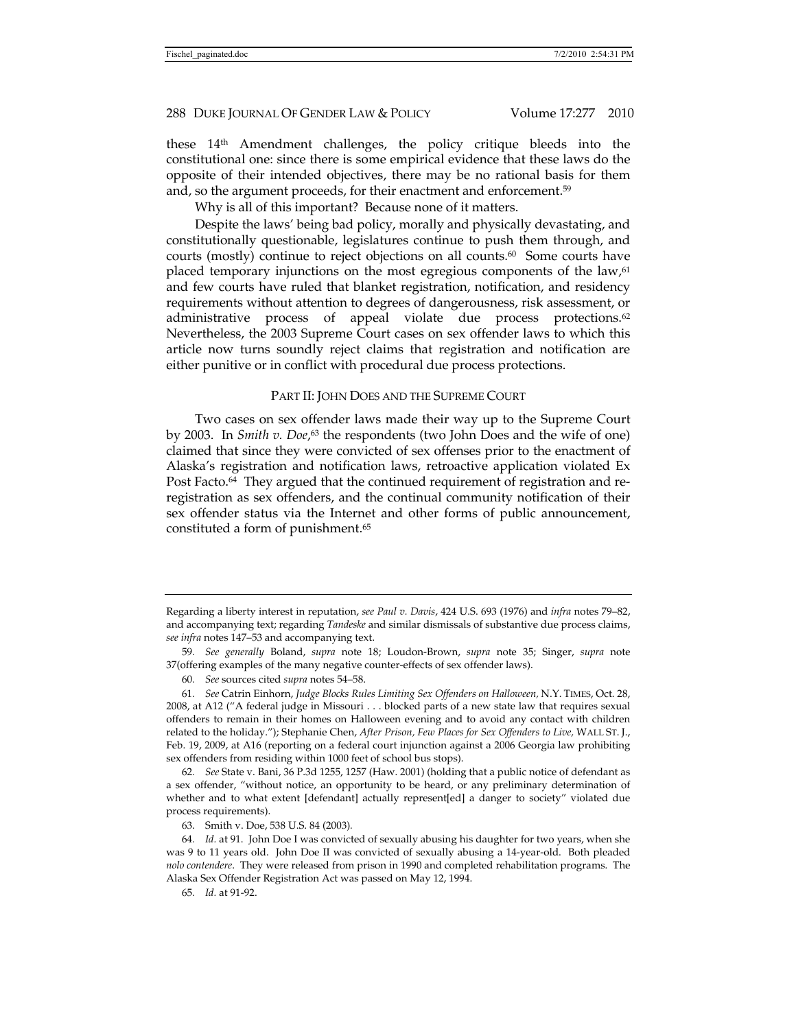these 14th Amendment challenges, the policy critique bleeds into the constitutional one: since there is some empirical evidence that these laws do the opposite of their intended objectives, there may be no rational basis for them and, so the argument proceeds, for their enactment and enforcement.59

Why is all of this important? Because none of it matters.

Despite the laws' being bad policy, morally and physically devastating, and constitutionally questionable, legislatures continue to push them through, and courts (mostly) continue to reject objections on all counts.<sup>60</sup> Some courts have placed temporary injunctions on the most egregious components of the  $law<sub>0</sub><sup>61</sup>$ and few courts have ruled that blanket registration, notification, and residency requirements without attention to degrees of dangerousness, risk assessment, or administrative process of appeal violate due process protections.<sup>62</sup> Nevertheless, the 2003 Supreme Court cases on sex offender laws to which this article now turns soundly reject claims that registration and notification are either punitive or in conflict with procedural due process protections.

### PART II: JOHN DOES AND THE SUPREME COURT

Two cases on sex offender laws made their way up to the Supreme Court by 2003. In *Smith v. Doe*,<sup>63</sup> the respondents (two John Does and the wife of one) claimed that since they were convicted of sex offenses prior to the enactment of Alaska's registration and notification laws, retroactive application violated Ex Post Facto.<sup>64</sup> They argued that the continued requirement of registration and reregistration as sex offenders, and the continual community notification of their sex offender status via the Internet and other forms of public announcement, constituted a form of punishment.65

62*. See* State v. Bani, 36 P.3d 1255, 1257 (Haw. 2001) (holding that a public notice of defendant as a sex offender, "without notice, an opportunity to be heard, or any preliminary determination of whether and to what extent [defendant] actually represent[ed] a danger to society" violated due process requirements).

Regarding a liberty interest in reputation, *see Paul v. Davis*, 424 U.S. 693 (1976) and *infra* notes 79–82, and accompanying text; regarding *Tandeske* and similar dismissals of substantive due process claims, *see infra* notes 147–53 and accompanying text.

<sup>59</sup>*. See generally* Boland, *supra* note 18; Loudon-Brown, *supra* note 35; Singer, *supra* note 37(offering examples of the many negative counter-effects of sex offender laws).

<sup>60</sup>*. See* sources cited *supra* notes 54–58.

<sup>61</sup>*. See* Catrin Einhorn, *Judge Blocks Rules Limiting Sex Offenders on Halloween,* N.Y. TIMES, Oct. 28, 2008, at A12 ("A federal judge in Missouri . . . blocked parts of a new state law that requires sexual offenders to remain in their homes on Halloween evening and to avoid any contact with children related to the holiday."); Stephanie Chen, *After Prison, Few Places for Sex Offenders to Live,* WALL ST. J., Feb. 19, 2009, at A16 (reporting on a federal court injunction against a 2006 Georgia law prohibiting sex offenders from residing within 1000 feet of school bus stops).

 <sup>63.</sup> Smith v. Doe, 538 U.S. 84 (2003)*.*

<sup>64</sup>*. Id.* at 91. John Doe I was convicted of sexually abusing his daughter for two years, when she was 9 to 11 years old. John Doe II was convicted of sexually abusing a 14-year-old. Both pleaded *nolo contendere*. They were released from prison in 1990 and completed rehabilitation programs. The Alaska Sex Offender Registration Act was passed on May 12, 1994.

<sup>65</sup>*. Id.* at 91-92.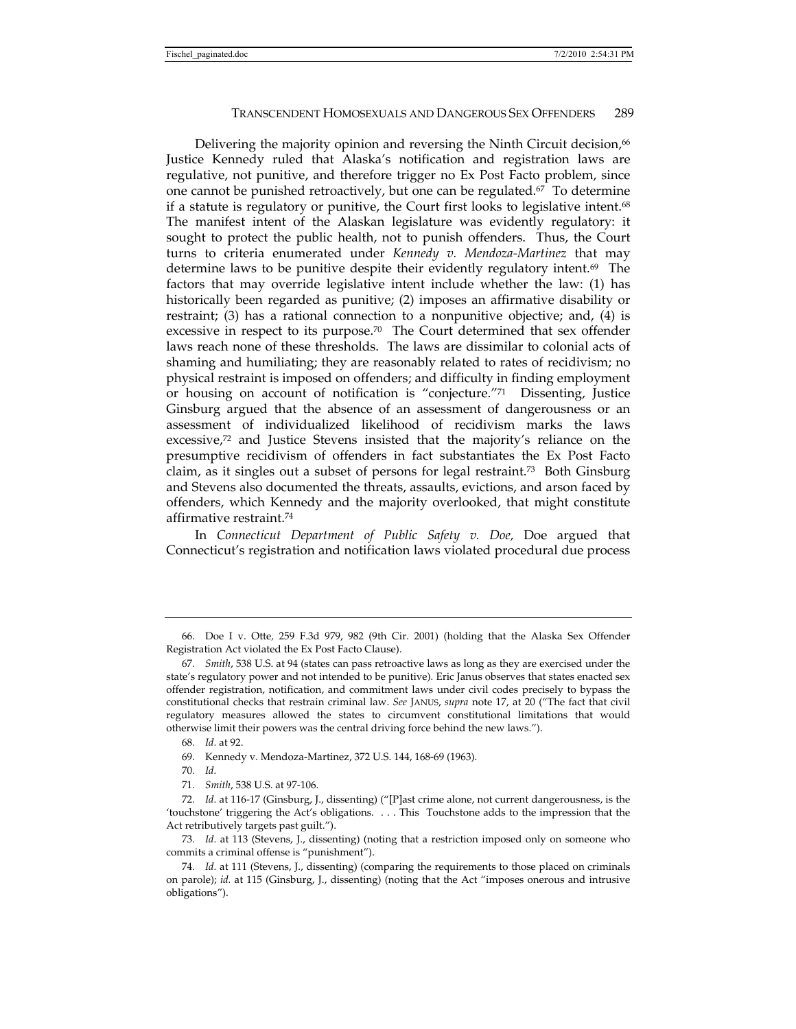Delivering the majority opinion and reversing the Ninth Circuit decision,<sup>66</sup> Justice Kennedy ruled that Alaska's notification and registration laws are regulative, not punitive, and therefore trigger no Ex Post Facto problem, since one cannot be punished retroactively, but one can be regulated.67 To determine if a statute is regulatory or punitive, the Court first looks to legislative intent.68 The manifest intent of the Alaskan legislature was evidently regulatory: it sought to protect the public health, not to punish offenders. Thus, the Court turns to criteria enumerated under *Kennedy v. Mendoza-Martinez* that may determine laws to be punitive despite their evidently regulatory intent.69 The factors that may override legislative intent include whether the law: (1) has historically been regarded as punitive; (2) imposes an affirmative disability or restraint; (3) has a rational connection to a nonpunitive objective; and, (4) is excessive in respect to its purpose.<sup>70</sup> The Court determined that sex offender laws reach none of these thresholds. The laws are dissimilar to colonial acts of shaming and humiliating; they are reasonably related to rates of recidivism; no physical restraint is imposed on offenders; and difficulty in finding employment or housing on account of notification is "conjecture."71 Dissenting, Justice Ginsburg argued that the absence of an assessment of dangerousness or an assessment of individualized likelihood of recidivism marks the laws excessive,72 and Justice Stevens insisted that the majority's reliance on the presumptive recidivism of offenders in fact substantiates the Ex Post Facto claim, as it singles out a subset of persons for legal restraint.73 Both Ginsburg and Stevens also documented the threats, assaults, evictions, and arson faced by offenders, which Kennedy and the majority overlooked, that might constitute affirmative restraint.74

In *Connecticut Department of Public Safety v. Doe,* Doe argued that Connecticut's registration and notification laws violated procedural due process

73*. Id.* at 113 (Stevens, J., dissenting) (noting that a restriction imposed only on someone who commits a criminal offense is "punishment").

 <sup>66.</sup> Doe I v. Otte*,* 259 F.3d 979, 982 (9th Cir. 2001) (holding that the Alaska Sex Offender Registration Act violated the Ex Post Facto Clause).

<sup>67</sup>*. Smith*, 538 U.S. at 94 (states can pass retroactive laws as long as they are exercised under the state's regulatory power and not intended to be punitive)*.* Eric Janus observes that states enacted sex offender registration, notification, and commitment laws under civil codes precisely to bypass the constitutional checks that restrain criminal law. *See* JANUS, *supra* note 17, at 20 ("The fact that civil regulatory measures allowed the states to circumvent constitutional limitations that would otherwise limit their powers was the central driving force behind the new laws.").

<sup>68</sup>*. Id.* at 92.

 <sup>69.</sup> Kennedy v. Mendoza-Martinez, 372 U.S. 144, 168-69 (1963).

<sup>70</sup>*. Id.*

<sup>71</sup>*. Smith*, 538 U.S. at 97-106*.*

<sup>72</sup>*. Id.* at 116-17 (Ginsburg, J., dissenting) ("[P]ast crime alone, not current dangerousness, is the 'touchstone' triggering the Act's obligations. . . . This Touchstone adds to the impression that the Act retributively targets past guilt.").

<sup>74</sup>*. Id.* at 111 (Stevens, J., dissenting) (comparing the requirements to those placed on criminals on parole); *id.* at 115 (Ginsburg, J., dissenting) (noting that the Act "imposes onerous and intrusive obligations").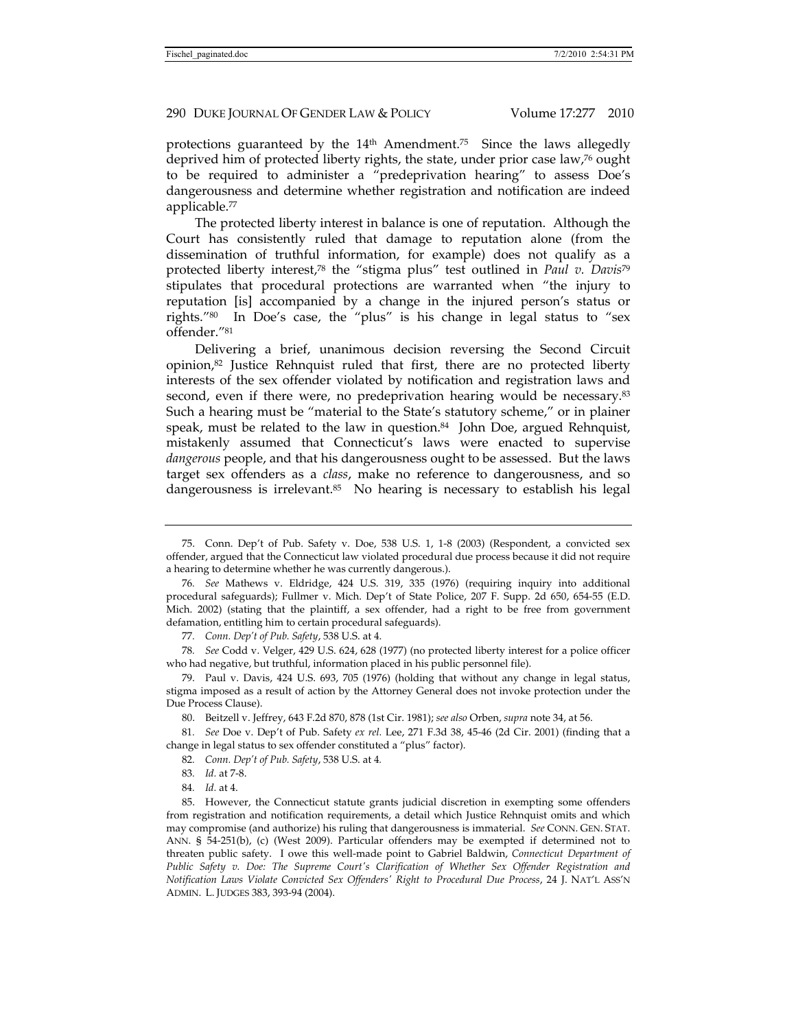protections guaranteed by the 14<sup>th</sup> Amendment.<sup>75</sup> Since the laws allegedly deprived him of protected liberty rights, the state, under prior case law,76 ought to be required to administer a "predeprivation hearing" to assess Doe's dangerousness and determine whether registration and notification are indeed applicable.77

The protected liberty interest in balance is one of reputation. Although the Court has consistently ruled that damage to reputation alone (from the dissemination of truthful information, for example) does not qualify as a protected liberty interest,78 the "stigma plus" test outlined in *Paul v. Davis*<sup>79</sup> stipulates that procedural protections are warranted when "the injury to reputation [is] accompanied by a change in the injured person's status or rights."80 In Doe's case, the "plus" is his change in legal status to "sex offender."81

Delivering a brief, unanimous decision reversing the Second Circuit opinion, $82$  Justice Rehnquist ruled that first, there are no protected liberty interests of the sex offender violated by notification and registration laws and second, even if there were, no predeprivation hearing would be necessary.<sup>83</sup> Such a hearing must be "material to the State's statutory scheme," or in plainer speak, must be related to the law in question.<sup>84</sup> John Doe, argued Rehnquist, mistakenly assumed that Connecticut's laws were enacted to supervise *dangerous* people, and that his dangerousness ought to be assessed. But the laws target sex offenders as a *class*, make no reference to dangerousness, and so dangerousness is irrelevant.85 No hearing is necessary to establish his legal

78*. See* Codd v. Velger, 429 U.S. 624, 628 (1977) (no protected liberty interest for a police officer who had negative, but truthful, information placed in his public personnel file).

 79. Paul v. Davis, 424 U.S. 693, 705 (1976) (holding that without any change in legal status, stigma imposed as a result of action by the Attorney General does not invoke protection under the Due Process Clause).

80. Beitzell v. Jeffrey, 643 F.2d 870, 878 (1st Cir. 1981); *see also* Orben, *supra* note 34, at 56.

81*. See* Doe v. Dep't of Pub. Safety *ex rel.* Lee, 271 F.3d 38, 45-46 (2d Cir. 2001) (finding that a change in legal status to sex offender constituted a "plus" factor).

84*. Id.* at 4.

 <sup>75.</sup> Conn. Dep't of Pub. Safety v. Doe, 538 U.S. 1, 1-8 (2003) (Respondent, a convicted sex offender, argued that the Connecticut law violated procedural due process because it did not require a hearing to determine whether he was currently dangerous.).

<sup>76</sup>*. See* Mathews v. Eldridge, 424 U.S. 319, 335 (1976) (requiring inquiry into additional procedural safeguards); Fullmer v. Mich. Dep't of State Police, 207 F. Supp. 2d 650, 654-55 (E.D. Mich. 2002) (stating that the plaintiff, a sex offender, had a right to be free from government defamation, entitling him to certain procedural safeguards).

<sup>77</sup>*. Conn. Dep't of Pub. Safety*, 538 U.S. at 4.

<sup>82</sup>*. Conn. Dep't of Pub. Safety*, 538 U.S. at 4*.*

<sup>83</sup>*. Id.* at 7-8.

 <sup>85.</sup> However, the Connecticut statute grants judicial discretion in exempting some offenders from registration and notification requirements, a detail which Justice Rehnquist omits and which may compromise (and authorize) his ruling that dangerousness is immaterial. *See* CONN. GEN. STAT. ANN. § 54-251(b), (c) (West 2009). Particular offenders may be exempted if determined not to threaten public safety. I owe this well-made point to Gabriel Baldwin, *Connecticut Department of Public Safety v. Doe: The Supreme Court's Clarification of Whether Sex Offender Registration and Notification Laws Violate Convicted Sex Offenders' Right to Procedural Due Process*, 24 J. NAT'L ASS'N ADMIN. L. JUDGES 383, 393-94 (2004).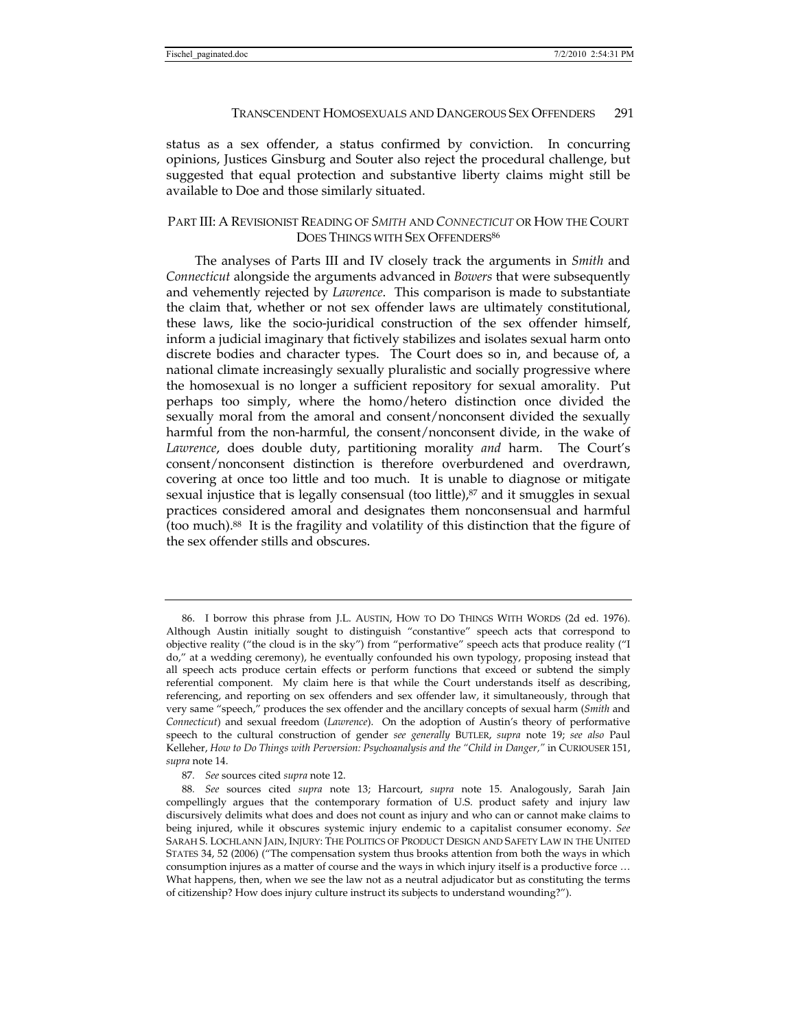status as a sex offender, a status confirmed by conviction. In concurring opinions, Justices Ginsburg and Souter also reject the procedural challenge, but suggested that equal protection and substantive liberty claims might still be available to Doe and those similarly situated.

# PART III: A REVISIONIST READING OF *SMITH* AND *CONNECTICUT* OR HOW THE COURT DOES THINGS WITH SEX OFFENDERS<sup>86</sup>

The analyses of Parts III and IV closely track the arguments in *Smith* and *Connecticut* alongside the arguments advanced in *Bowers* that were subsequently and vehemently rejected by *Lawrence*. This comparison is made to substantiate the claim that, whether or not sex offender laws are ultimately constitutional, these laws, like the socio-juridical construction of the sex offender himself, inform a judicial imaginary that fictively stabilizes and isolates sexual harm onto discrete bodies and character types. The Court does so in, and because of, a national climate increasingly sexually pluralistic and socially progressive where the homosexual is no longer a sufficient repository for sexual amorality. Put perhaps too simply, where the homo/hetero distinction once divided the sexually moral from the amoral and consent/nonconsent divided the sexually harmful from the non-harmful, the consent/nonconsent divide, in the wake of *Lawrence*, does double duty, partitioning morality *and* harm. The Court's consent/nonconsent distinction is therefore overburdened and overdrawn, covering at once too little and too much. It is unable to diagnose or mitigate sexual injustice that is legally consensual (too little), $87$  and it smuggles in sexual practices considered amoral and designates them nonconsensual and harmful (too much).88 It is the fragility and volatility of this distinction that the figure of the sex offender stills and obscures.

 <sup>86.</sup> I borrow this phrase from J.L. AUSTIN, HOW TO DO THINGS WITH WORDS (2d ed. 1976). Although Austin initially sought to distinguish "constantive" speech acts that correspond to objective reality ("the cloud is in the sky") from "performative" speech acts that produce reality ("I do," at a wedding ceremony), he eventually confounded his own typology, proposing instead that all speech acts produce certain effects or perform functions that exceed or subtend the simply referential component. My claim here is that while the Court understands itself as describing, referencing, and reporting on sex offenders and sex offender law, it simultaneously, through that very same "speech," produces the sex offender and the ancillary concepts of sexual harm (*Smith* and *Connecticut*) and sexual freedom (*Lawrence*). On the adoption of Austin's theory of performative speech to the cultural construction of gender *see generally* BUTLER, *supra* note 19; *see also* Paul Kelleher, *How to Do Things with Perversion: Psychoanalysis and the "Child in Danger,"* in CURIOUSER 151, *supra* note 14.

<sup>87</sup>*. See* sources cited *supra* note 12.

<sup>88</sup>*. See* sources cited *supra* note 13; Harcourt, *supra* note 15. Analogously, Sarah Jain compellingly argues that the contemporary formation of U.S. product safety and injury law discursively delimits what does and does not count as injury and who can or cannot make claims to being injured, while it obscures systemic injury endemic to a capitalist consumer economy. *See*  SARAH S. LOCHLANN JAIN, INJURY: THE POLITICS OF PRODUCT DESIGN AND SAFETY LAW IN THE UNITED STATES 34, 52 (2006) ("The compensation system thus brooks attention from both the ways in which consumption injures as a matter of course and the ways in which injury itself is a productive force … What happens, then, when we see the law not as a neutral adjudicator but as constituting the terms of citizenship? How does injury culture instruct its subjects to understand wounding?").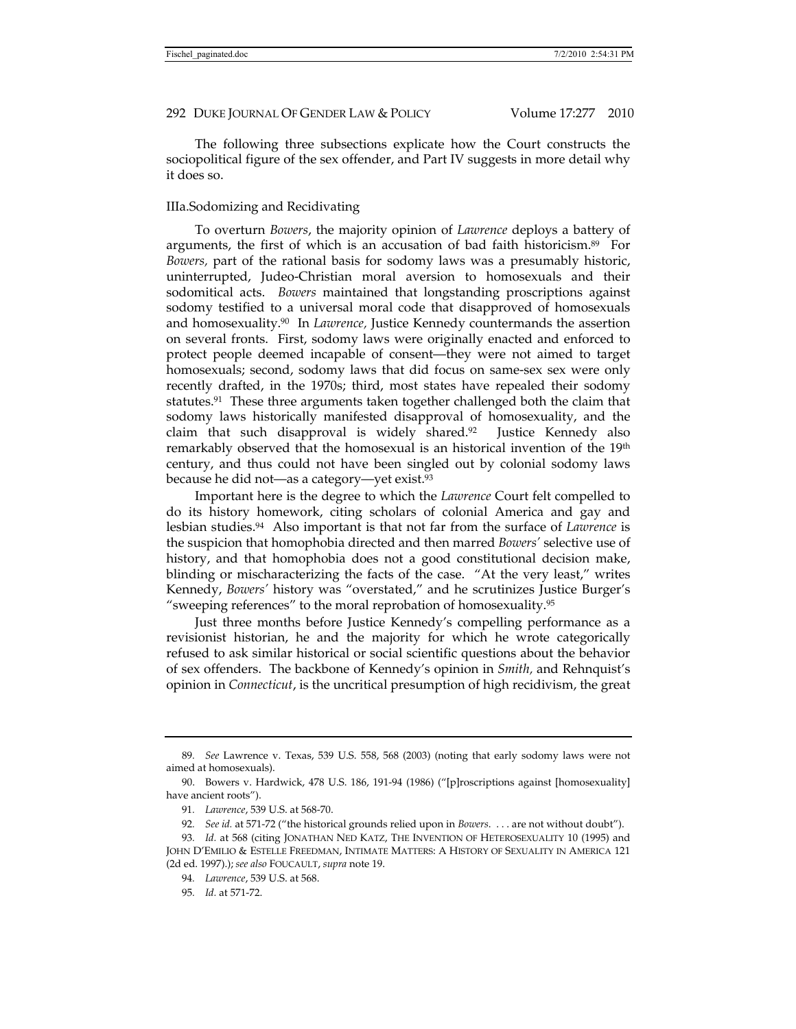The following three subsections explicate how the Court constructs the sociopolitical figure of the sex offender, and Part IV suggests in more detail why it does so.

### IIIa.Sodomizing and Recidivating

To overturn *Bowers*, the majority opinion of *Lawrence* deploys a battery of arguments, the first of which is an accusation of bad faith historicism.89 For *Bowers,* part of the rational basis for sodomy laws was a presumably historic, uninterrupted, Judeo-Christian moral aversion to homosexuals and their sodomitical acts. *Bowers* maintained that longstanding proscriptions against sodomy testified to a universal moral code that disapproved of homosexuals and homosexuality.90 In *Lawrence,* Justice Kennedy countermands the assertion on several fronts. First, sodomy laws were originally enacted and enforced to protect people deemed incapable of consent—they were not aimed to target homosexuals; second, sodomy laws that did focus on same-sex sex were only recently drafted, in the 1970s; third, most states have repealed their sodomy statutes.<sup>91</sup> These three arguments taken together challenged both the claim that sodomy laws historically manifested disapproval of homosexuality, and the claim that such disapproval is widely shared.92 Justice Kennedy also remarkably observed that the homosexual is an historical invention of the 19<sup>th</sup> century, and thus could not have been singled out by colonial sodomy laws because he did not—as a category—yet exist.93

Important here is the degree to which the *Lawrence* Court felt compelled to do its history homework, citing scholars of colonial America and gay and lesbian studies.94 Also important is that not far from the surface of *Lawrence* is the suspicion that homophobia directed and then marred *Bowers'* selective use of history, and that homophobia does not a good constitutional decision make, blinding or mischaracterizing the facts of the case. "At the very least," writes Kennedy, *Bowers'* history was "overstated," and he scrutinizes Justice Burger's "sweeping references" to the moral reprobation of homosexuality.95

Just three months before Justice Kennedy's compelling performance as a revisionist historian, he and the majority for which he wrote categorically refused to ask similar historical or social scientific questions about the behavior of sex offenders. The backbone of Kennedy's opinion in *Smith,* and Rehnquist's opinion in *Connecticut*, is the uncritical presumption of high recidivism, the great

<sup>89</sup>*. See* Lawrence v. Texas, 539 U.S. 558, 568 (2003) (noting that early sodomy laws were not aimed at homosexuals).

 <sup>90.</sup> Bowers v. Hardwick, 478 U.S. 186, 191-94 (1986) ("[p]roscriptions against [homosexuality] have ancient roots").

<sup>91</sup>*. Lawrence*, 539 U.S. at 568-70.

<sup>92</sup>*. See id.* at 571-72 ("the historical grounds relied upon in *Bowers*. . . . are not without doubt").

<sup>93</sup>*. Id.* at 568 (citing JONATHAN NED KATZ, THE INVENTION OF HETEROSEXUALITY 10 (1995) and JOHN D'EMILIO & ESTELLE FREEDMAN, INTIMATE MATTERS: A HISTORY OF SEXUALITY IN AMERICA 121 (2d ed. 1997).); *see also* FOUCAULT, *supra* note 19.

<sup>94</sup>*. Lawrence*, 539 U.S. at 568.

<sup>95</sup>*. Id.* at 571-72.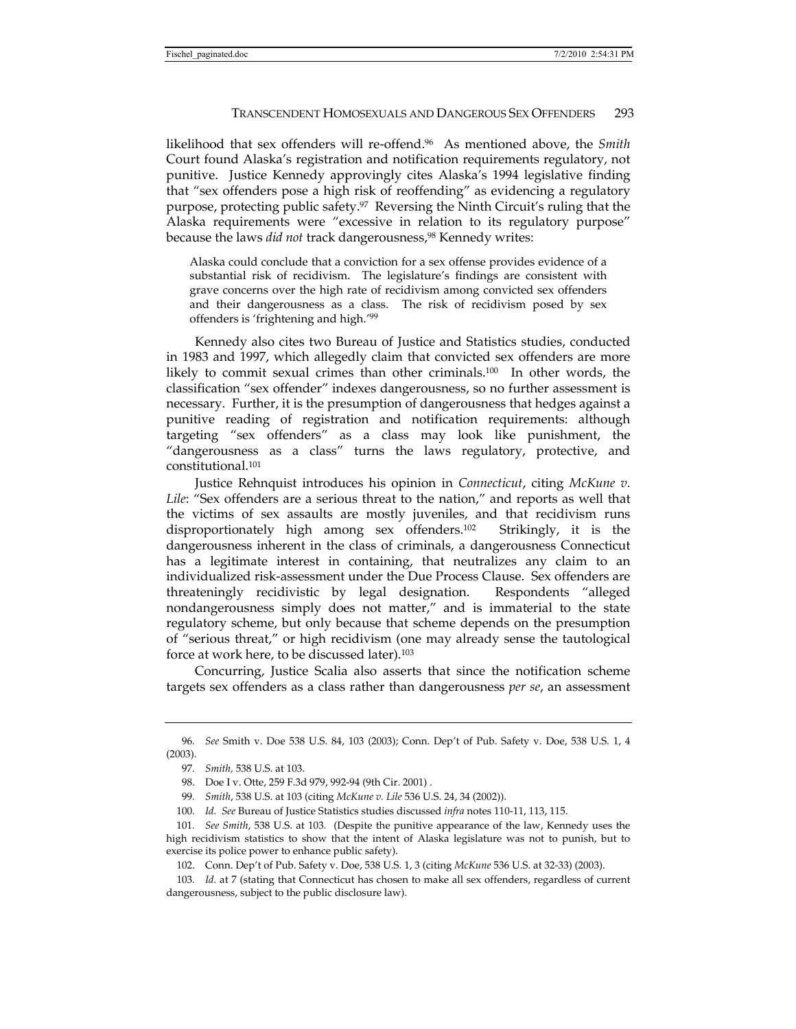likelihood that sex offenders will re-offend.96 As mentioned above, the *Smith*  Court found Alaska's registration and notification requirements regulatory, not punitive. Justice Kennedy approvingly cites Alaska's 1994 legislative finding that "sex offenders pose a high risk of reoffending" as evidencing a regulatory purpose, protecting public safety.97 Reversing the Ninth Circuit's ruling that the Alaska requirements were "excessive in relation to its regulatory purpose" because the laws *did not* track dangerousness,98 Kennedy writes:

Alaska could conclude that a conviction for a sex offense provides evidence of a substantial risk of recidivism. The legislature's findings are consistent with grave concerns over the high rate of recidivism among convicted sex offenders and their dangerousness as a class. The risk of recidivism posed by sex offenders is 'frightening and high.'99

Kennedy also cites two Bureau of Justice and Statistics studies, conducted in 1983 and 1997, which allegedly claim that convicted sex offenders are more likely to commit sexual crimes than other criminals.100 In other words, the classification "sex offender" indexes dangerousness, so no further assessment is necessary. Further, it is the presumption of dangerousness that hedges against a punitive reading of registration and notification requirements: although targeting "sex offenders" as a class may look like punishment, the "dangerousness as a class" turns the laws regulatory, protective, and constitutional.101

Justice Rehnquist introduces his opinion in *Connecticut*, citing *McKune v. Lile*: "Sex offenders are a serious threat to the nation," and reports as well that the victims of sex assaults are mostly juveniles, and that recidivism runs disproportionately high among sex offenders.102 Strikingly, it is the dangerousness inherent in the class of criminals, a dangerousness Connecticut has a legitimate interest in containing, that neutralizes any claim to an individualized risk-assessment under the Due Process Clause. Sex offenders are threateningly recidivistic by legal designation. Respondents "alleged nondangerousness simply does not matter," and is immaterial to the state regulatory scheme, but only because that scheme depends on the presumption of "serious threat," or high recidivism (one may already sense the tautological force at work here, to be discussed later).103

Concurring, Justice Scalia also asserts that since the notification scheme targets sex offenders as a class rather than dangerousness *per se*, an assessment

<sup>96</sup>*. See* Smith v. Doe 538 U.S. 84, 103 (2003); Conn. Dep't of Pub. Safety v. Doe, 538 U.S. 1, 4 (2003).

<sup>97</sup>*. Smith,* 538 U.S. at 103.

 <sup>98.</sup> Doe I v. Otte, 259 F.3d 979, 992-94 (9th Cir. 2001) *.*

<sup>99</sup>*. Smith*, 538 U.S. at 103 (citing *McKune v. Lile* 536 U.S. 24, 34 (2002)).

<sup>100</sup>*. Id. See* Bureau of Justice Statistics studies discussed *infra* notes 110-11, 113, 115.

<sup>101</sup>*. See Smith*, 538 U.S. at 103*.* (Despite the punitive appearance of the law, Kennedy uses the high recidivism statistics to show that the intent of Alaska legislature was not to punish, but to exercise its police power to enhance public safety).

 <sup>102.</sup> Conn. Dep't of Pub. Safety v. Doe, 538 U.S. 1, 3 (citing *McKune* 536 U.S. at 32-33) (2003).

<sup>103</sup>*. Id.* at 7 (stating that Connecticut has chosen to make all sex offenders, regardless of current dangerousness, subject to the public disclosure law).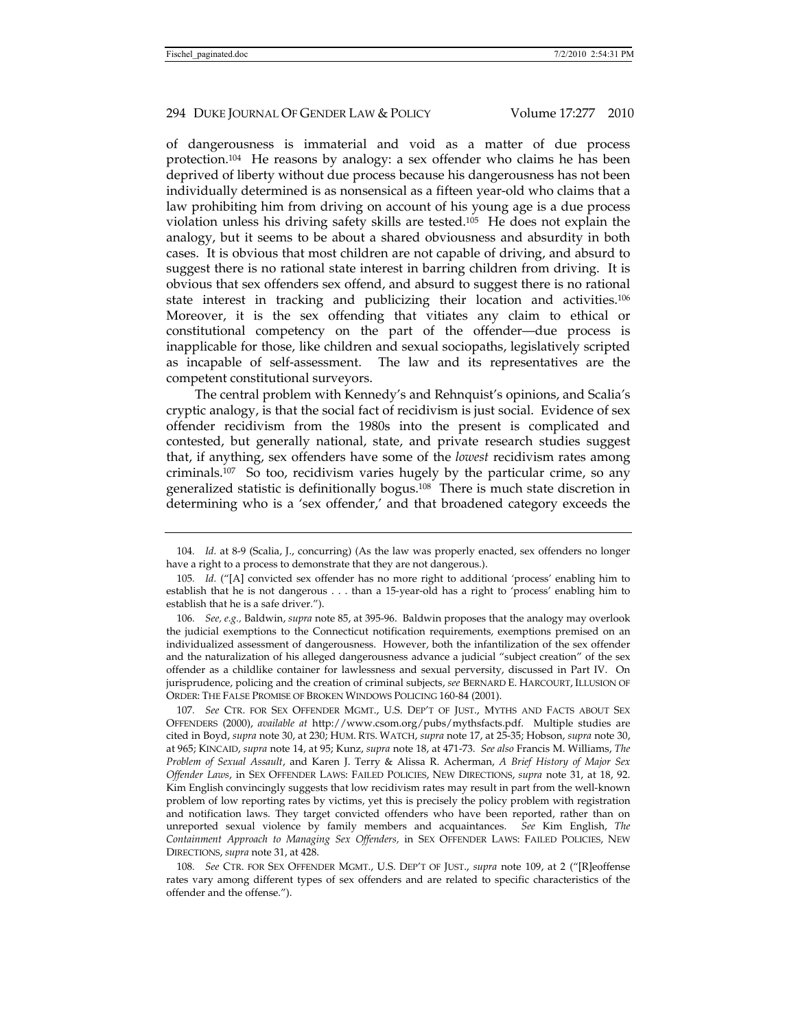of dangerousness is immaterial and void as a matter of due process protection.104 He reasons by analogy: a sex offender who claims he has been deprived of liberty without due process because his dangerousness has not been individually determined is as nonsensical as a fifteen year-old who claims that a law prohibiting him from driving on account of his young age is a due process violation unless his driving safety skills are tested.105 He does not explain the analogy, but it seems to be about a shared obviousness and absurdity in both cases. It is obvious that most children are not capable of driving, and absurd to suggest there is no rational state interest in barring children from driving. It is obvious that sex offenders sex offend, and absurd to suggest there is no rational state interest in tracking and publicizing their location and activities.106 Moreover, it is the sex offending that vitiates any claim to ethical or constitutional competency on the part of the offender—due process is inapplicable for those, like children and sexual sociopaths, legislatively scripted as incapable of self-assessment. The law and its representatives are the competent constitutional surveyors.

The central problem with Kennedy's and Rehnquist's opinions, and Scalia's cryptic analogy, is that the social fact of recidivism is just social. Evidence of sex offender recidivism from the 1980s into the present is complicated and contested, but generally national, state, and private research studies suggest that, if anything, sex offenders have some of the *lowest* recidivism rates among criminals.107 So too, recidivism varies hugely by the particular crime, so any generalized statistic is definitionally bogus.108 There is much state discretion in determining who is a 'sex offender,' and that broadened category exceeds the

106*. See, e.g.,* Baldwin, *supra* note 85, at 395-96. Baldwin proposes that the analogy may overlook the judicial exemptions to the Connecticut notification requirements, exemptions premised on an individualized assessment of dangerousness. However, both the infantilization of the sex offender and the naturalization of his alleged dangerousness advance a judicial "subject creation" of the sex offender as a childlike container for lawlessness and sexual perversity, discussed in Part IV. On jurisprudence, policing and the creation of criminal subjects, *see* BERNARD E. HARCOURT, ILLUSION OF ORDER: THE FALSE PROMISE OF BROKEN WINDOWS POLICING 160-84 (2001).

107*. See* CTR. FOR SEX OFFENDER MGMT., U.S. DEP'T OF JUST., MYTHS AND FACTS ABOUT SEX OFFENDERS (2000), *available at* http://www.csom.org/pubs/mythsfacts.pdf. Multiple studies are cited in Boyd, *supra* note 30, at 230; HUM. RTS. WATCH, *supra* note 17, at 25-35; Hobson, *supra* note 30, at 965; KINCAID, *supra* note 14, at 95; Kunz, *supra* note 18, at 471-73. *See also* Francis M. Williams, *The Problem of Sexual Assault*, and Karen J. Terry & Alissa R. Acherman, *A Brief History of Major Sex Offender Laws*, in SEX OFFENDER LAWS: FAILED POLICIES, NEW DIRECTIONS, *supra* note 31, at 18, 92. Kim English convincingly suggests that low recidivism rates may result in part from the well-known problem of low reporting rates by victims, yet this is precisely the policy problem with registration and notification laws. They target convicted offenders who have been reported, rather than on unreported sexual violence by family members and acquaintances. *See* Kim English, *The Containment Approach to Managing Sex Offenders,* in SEX OFFENDER LAWS: FAILED POLICIES, NEW DIRECTIONS, *supra* note 31, at 428.

108*. See* CTR. FOR SEX OFFENDER MGMT., U.S. DEP'T OF JUST., *supra* note 109, at 2 ("[R]eoffense rates vary among different types of sex offenders and are related to specific characteristics of the offender and the offense.").

<sup>104</sup>*. Id.* at 8-9 (Scalia, J., concurring) (As the law was properly enacted, sex offenders no longer have a right to a process to demonstrate that they are not dangerous.).

<sup>105</sup>*. Id.* ("[A] convicted sex offender has no more right to additional 'process' enabling him to establish that he is not dangerous . . . than a 15-year-old has a right to 'process' enabling him to establish that he is a safe driver.").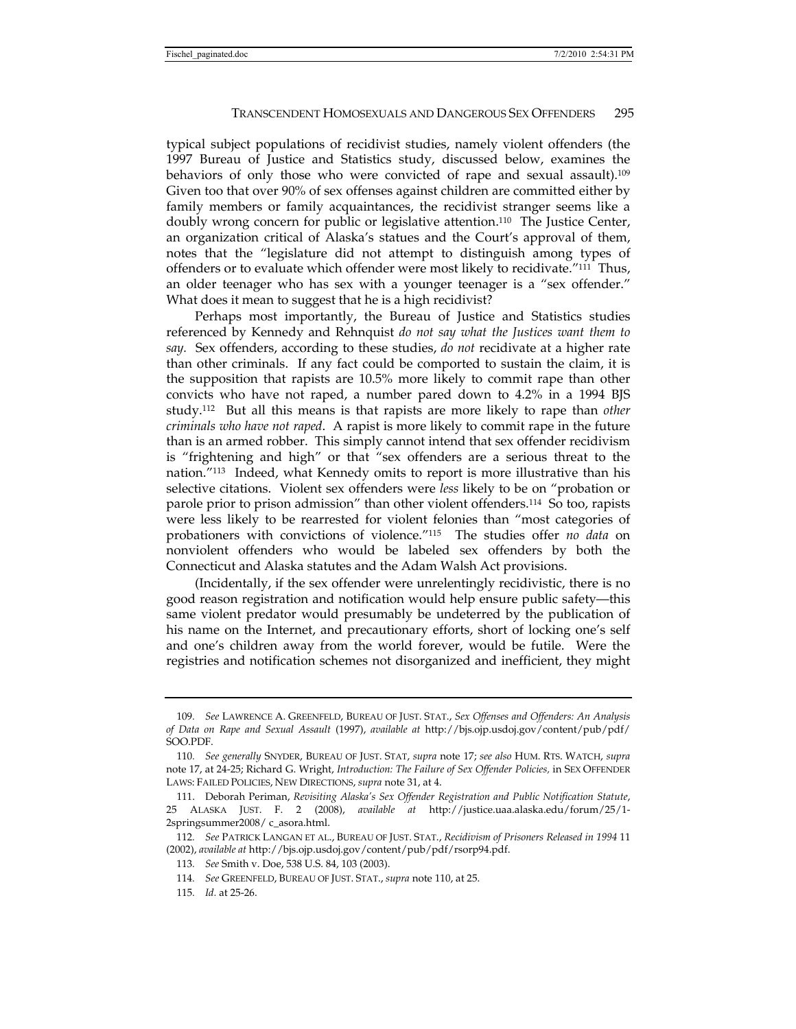typical subject populations of recidivist studies, namely violent offenders (the 1997 Bureau of Justice and Statistics study, discussed below, examines the behaviors of only those who were convicted of rape and sexual assault).109 Given too that over 90% of sex offenses against children are committed either by family members or family acquaintances, the recidivist stranger seems like a doubly wrong concern for public or legislative attention.110 The Justice Center, an organization critical of Alaska's statues and the Court's approval of them, notes that the "legislature did not attempt to distinguish among types of offenders or to evaluate which offender were most likely to recidivate."111 Thus, an older teenager who has sex with a younger teenager is a "sex offender." What does it mean to suggest that he is a high recidivist?

Perhaps most importantly, the Bureau of Justice and Statistics studies referenced by Kennedy and Rehnquist *do not say what the Justices want them to say.* Sex offenders, according to these studies, *do not* recidivate at a higher rate than other criminals. If any fact could be comported to sustain the claim, it is the supposition that rapists are 10.5% more likely to commit rape than other convicts who have not raped, a number pared down to 4.2% in a 1994 BJS study.112 But all this means is that rapists are more likely to rape than *other criminals who have not raped*. A rapist is more likely to commit rape in the future than is an armed robber. This simply cannot intend that sex offender recidivism is "frightening and high" or that "sex offenders are a serious threat to the nation."113 Indeed, what Kennedy omits to report is more illustrative than his selective citations. Violent sex offenders were *less* likely to be on "probation or parole prior to prison admission" than other violent offenders.114 So too, rapists were less likely to be rearrested for violent felonies than "most categories of probationers with convictions of violence."115 The studies offer *no data* on nonviolent offenders who would be labeled sex offenders by both the Connecticut and Alaska statutes and the Adam Walsh Act provisions.

(Incidentally, if the sex offender were unrelentingly recidivistic, there is no good reason registration and notification would help ensure public safety—this same violent predator would presumably be undeterred by the publication of his name on the Internet, and precautionary efforts, short of locking one's self and one's children away from the world forever, would be futile. Were the registries and notification schemes not disorganized and inefficient, they might

<sup>109</sup>*. See* LAWRENCE A. GREENFELD, BUREAU OF JUST. STAT., *Sex Offenses and Offenders: An Analysis of Data on Rape and Sexual Assault* (1997), *available at* http://bjs.ojp.usdoj.gov/content/pub/pdf/ SOO.PDF.

<sup>110</sup>*. See generally* SNYDER, BUREAU OF JUST. STAT, *supra* note 17; *see also* HUM. RTS. WATCH, *supra*  note 17, at 24-25; Richard G. Wright, *Introduction: The Failure of Sex Offender Policies,* in SEX OFFENDER LAWS: FAILED POLICIES, NEW DIRECTIONS, *supra* note 31, at 4.

 <sup>111.</sup> Deborah Periman, *Revisiting Alaska's Sex Offender Registration and Public Notification Statute*, 25 ALASKA JUST. F. 2 (2008), *available at* http://justice.uaa.alaska.edu/forum/25/1- 2springsummer2008/ c\_asora.html.

<sup>112</sup>*. See* PATRICK LANGAN ET AL., BUREAU OF JUST. STAT., *Recidivism of Prisoners Released in 1994* 11 (2002), *available at* http://bjs.ojp.usdoj.gov/content/pub/pdf/rsorp94.pdf.

<sup>113</sup>*. See* Smith v. Doe, 538 U.S. 84, 103 (2003).

<sup>114</sup>*. See* GREENFELD, BUREAU OF JUST. STAT., *supra* note 110, at 25.

<sup>115</sup>*. Id.* at 25-26.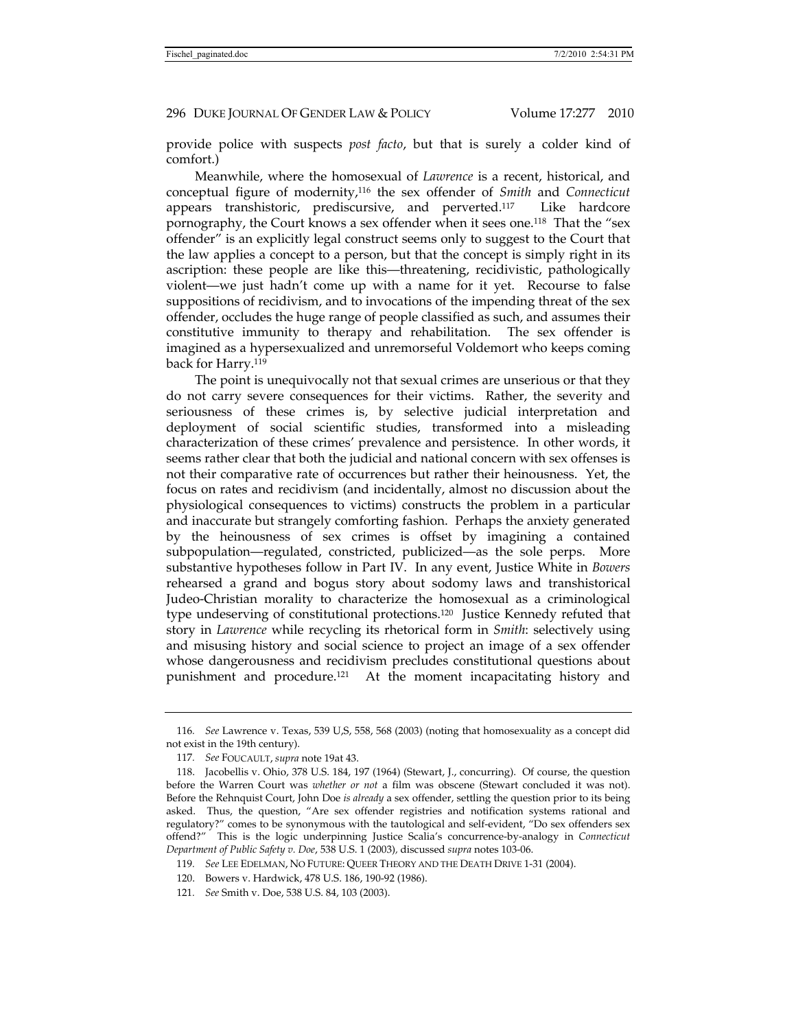provide police with suspects *post facto*, but that is surely a colder kind of comfort.)

Meanwhile, where the homosexual of *Lawrence* is a recent, historical, and conceptual figure of modernity,116 the sex offender of *Smith* and *Connecticut*  appears transhistoric, prediscursive, and perverted.117 Like hardcore pornography, the Court knows a sex offender when it sees one.118 That the "sex offender" is an explicitly legal construct seems only to suggest to the Court that the law applies a concept to a person, but that the concept is simply right in its ascription: these people are like this—threatening, recidivistic, pathologically violent—we just hadn't come up with a name for it yet. Recourse to false suppositions of recidivism, and to invocations of the impending threat of the sex offender, occludes the huge range of people classified as such, and assumes their constitutive immunity to therapy and rehabilitation. The sex offender is imagined as a hypersexualized and unremorseful Voldemort who keeps coming back for Harry.<sup>119</sup>

The point is unequivocally not that sexual crimes are unserious or that they do not carry severe consequences for their victims. Rather, the severity and seriousness of these crimes is, by selective judicial interpretation and deployment of social scientific studies, transformed into a misleading characterization of these crimes' prevalence and persistence. In other words, it seems rather clear that both the judicial and national concern with sex offenses is not their comparative rate of occurrences but rather their heinousness. Yet, the focus on rates and recidivism (and incidentally, almost no discussion about the physiological consequences to victims) constructs the problem in a particular and inaccurate but strangely comforting fashion. Perhaps the anxiety generated by the heinousness of sex crimes is offset by imagining a contained subpopulation—regulated, constricted, publicized—as the sole perps. More substantive hypotheses follow in Part IV. In any event, Justice White in *Bowers*  rehearsed a grand and bogus story about sodomy laws and transhistorical Judeo-Christian morality to characterize the homosexual as a criminological type undeserving of constitutional protections.120 Justice Kennedy refuted that story in *Lawrence* while recycling its rhetorical form in *Smith*: selectively using and misusing history and social science to project an image of a sex offender whose dangerousness and recidivism precludes constitutional questions about punishment and procedure.121 At the moment incapacitating history and

121*. See* Smith v. Doe, 538 U.S. 84, 103 (2003).

<sup>116</sup>*. See* Lawrence v. Texas, 539 U,S, 558, 568 (2003) (noting that homosexuality as a concept did not exist in the 19th century).

<sup>117</sup>*. See* FOUCAULT, *supra* note 19at 43.

 <sup>118.</sup> Jacobellis v. Ohio, 378 U.S. 184, 197 (1964) (Stewart, J., concurring). Of course, the question before the Warren Court was *whether or not* a film was obscene (Stewart concluded it was not). Before the Rehnquist Court, John Doe *is already* a sex offender, settling the question prior to its being asked. Thus, the question, "Are sex offender registries and notification systems rational and regulatory?" comes to be synonymous with the tautological and self-evident, "Do sex offenders sex offend?" This is the logic underpinning Justice Scalia's concurrence-by-analogy in *Connecticut Department of Public Safety v. Doe*, 538 U.S. 1 (2003)*,* discussed *supra* notes 103-06.

<sup>119</sup>*. See* LEE EDELMAN, NO FUTURE: QUEER THEORY AND THE DEATH DRIVE 1-31 (2004).

 <sup>120.</sup> Bowers v. Hardwick, 478 U.S. 186, 190-92 (1986).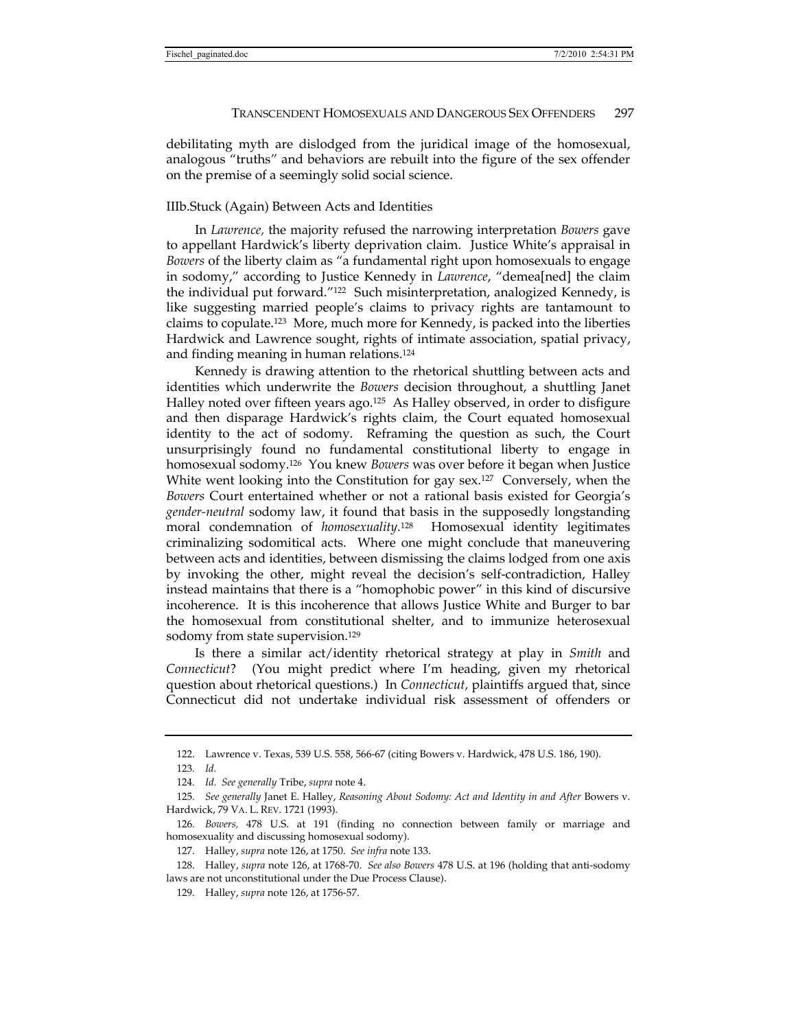debilitating myth are dislodged from the juridical image of the homosexual, analogous "truths" and behaviors are rebuilt into the figure of the sex offender on the premise of a seemingly solid social science.

#### IIIb.Stuck (Again) Between Acts and Identities

In *Lawrence,* the majority refused the narrowing interpretation *Bowers* gave to appellant Hardwick's liberty deprivation claim. Justice White's appraisal in *Bowers* of the liberty claim as "a fundamental right upon homosexuals to engage in sodomy," according to Justice Kennedy in *Lawrence*, "demea[ned] the claim the individual put forward."122 Such misinterpretation, analogized Kennedy, is like suggesting married people's claims to privacy rights are tantamount to claims to copulate.123 More, much more for Kennedy, is packed into the liberties Hardwick and Lawrence sought, rights of intimate association, spatial privacy, and finding meaning in human relations.124

Kennedy is drawing attention to the rhetorical shuttling between acts and identities which underwrite the *Bowers* decision throughout, a shuttling Janet Halley noted over fifteen years ago.<sup>125</sup> As Halley observed, in order to disfigure and then disparage Hardwick's rights claim, the Court equated homosexual identity to the act of sodomy. Reframing the question as such, the Court unsurprisingly found no fundamental constitutional liberty to engage in homosexual sodomy.126 You knew *Bowers* was over before it began when Justice White went looking into the Constitution for gay sex.<sup>127</sup> Conversely, when the *Bowers* Court entertained whether or not a rational basis existed for Georgia's *gender-neutral* sodomy law, it found that basis in the supposedly longstanding moral condemnation of *homosexuality*. Homosexual identity legitimates criminalizing sodomitical acts. Where one might conclude that maneuvering between acts and identities, between dismissing the claims lodged from one axis by invoking the other, might reveal the decision's self-contradiction, Halley instead maintains that there is a "homophobic power" in this kind of discursive incoherence. It is this incoherence that allows Justice White and Burger to bar the homosexual from constitutional shelter, and to immunize heterosexual sodomy from state supervision.129

Is there a similar act/identity rhetorical strategy at play in *Smith* and *Connecticut*? (You might predict where I'm heading, given my rhetorical question about rhetorical questions.) In *Connecticut,* plaintiffs argued that, since Connecticut did not undertake individual risk assessment of offenders or

 <sup>122.</sup> Lawrence v. Texas, 539 U.S. 558, 566-67 (citing Bowers v. Hardwick, 478 U.S. 186, 190).

<sup>123</sup>*. Id.*

<sup>124</sup>*. Id. See generally* Tribe, *supra* note 4.

<sup>125</sup>*. See generally* Janet E. Halley, *Reasoning About Sodomy: Act and Identity in and After* Bowers v. Hardwick, 79 VA. L. REV. 1721 (1993).

<sup>126</sup>*. Bowers,* 478 U.S. at 191 (finding no connection between family or marriage and homosexuality and discussing homosexual sodomy).

 <sup>127.</sup> Halley, *supra* note 126, at 1750. *See infra* note 133.

 <sup>128.</sup> Halley, *supra* note 126, at 1768-70. *See also Bowers* 478 U.S. at 196 (holding that anti-sodomy laws are not unconstitutional under the Due Process Clause).

 <sup>129.</sup> Halley, *supra* note 126, at 1756-57.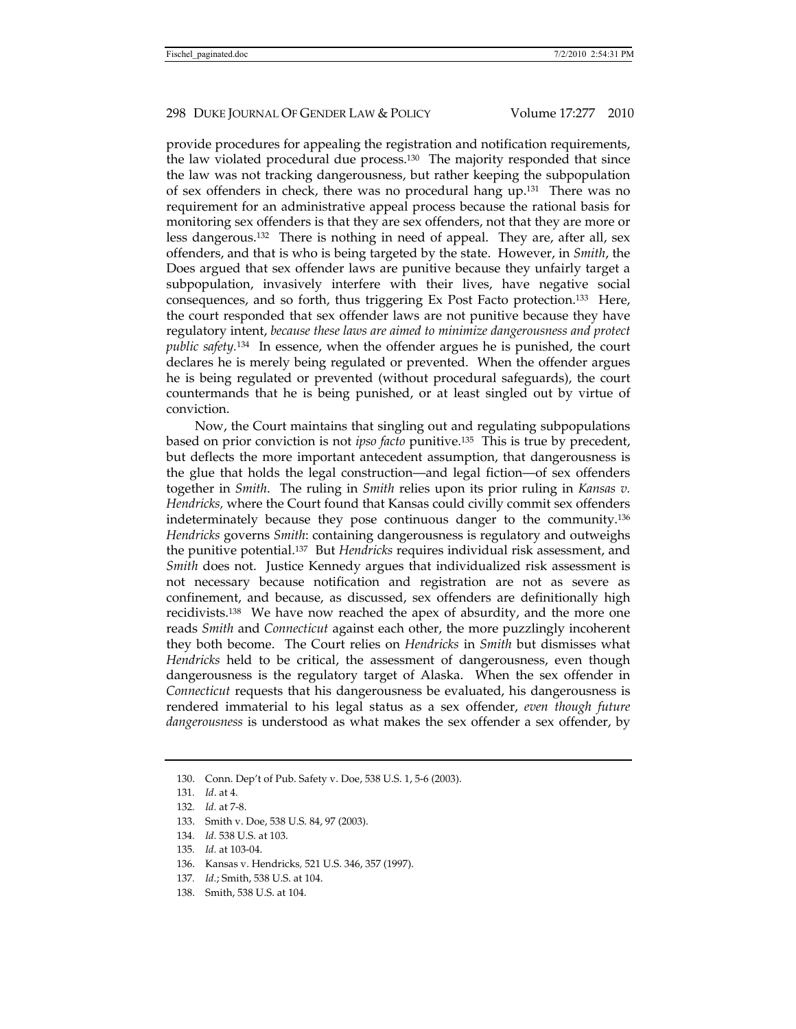provide procedures for appealing the registration and notification requirements, the law violated procedural due process.<sup>130</sup> The majority responded that since the law was not tracking dangerousness, but rather keeping the subpopulation of sex offenders in check, there was no procedural hang up.131 There was no requirement for an administrative appeal process because the rational basis for monitoring sex offenders is that they are sex offenders, not that they are more or less dangerous.132 There is nothing in need of appeal. They are, after all, sex offenders, and that is who is being targeted by the state. However, in *Smith*, the Does argued that sex offender laws are punitive because they unfairly target a subpopulation, invasively interfere with their lives, have negative social consequences, and so forth, thus triggering Ex Post Facto protection.133 Here, the court responded that sex offender laws are not punitive because they have regulatory intent, *because these laws are aimed to minimize dangerousness and protect public safety.*134 In essence, when the offender argues he is punished, the court declares he is merely being regulated or prevented. When the offender argues he is being regulated or prevented (without procedural safeguards), the court countermands that he is being punished, or at least singled out by virtue of conviction.

Now, the Court maintains that singling out and regulating subpopulations based on prior conviction is not *ipso facto* punitive.135 This is true by precedent, but deflects the more important antecedent assumption, that dangerousness is the glue that holds the legal construction—and legal fiction—of sex offenders together in *Smith*. The ruling in *Smith* relies upon its prior ruling in *Kansas v. Hendricks,* where the Court found that Kansas could civilly commit sex offenders indeterminately because they pose continuous danger to the community.136 *Hendricks* governs *Smith*: containing dangerousness is regulatory and outweighs the punitive potential.137 But *Hendricks* requires individual risk assessment, and *Smith* does not. Justice Kennedy argues that individualized risk assessment is not necessary because notification and registration are not as severe as confinement, and because, as discussed, sex offenders are definitionally high recidivists.138 We have now reached the apex of absurdity, and the more one reads *Smith* and *Connecticut* against each other, the more puzzlingly incoherent they both become. The Court relies on *Hendricks* in *Smith* but dismisses what *Hendricks* held to be critical, the assessment of dangerousness, even though dangerousness is the regulatory target of Alaska. When the sex offender in *Connecticut* requests that his dangerousness be evaluated, his dangerousness is rendered immaterial to his legal status as a sex offender, *even though future dangerousness* is understood as what makes the sex offender a sex offender, by

- 136. Kansas v. Hendricks*,* 521 U.S. 346, 357 (1997).
- 137*. Id.*; Smith, 538 U.S. at 104.
- 138. Smith, 538 U.S. at 104.

 <sup>130.</sup> Conn. Dep't of Pub. Safety v. Doe, 538 U.S. 1, 5-6 (2003).

<sup>131</sup>*. Id*. at 4.

<sup>132</sup>*. Id.* at 7-8.

 <sup>133.</sup> Smith v. Doe, 538 U.S. 84, 97 (2003).

<sup>134</sup>*. Id.* 538 U.S. at 103.

<sup>135</sup>*. Id.* at 103-04.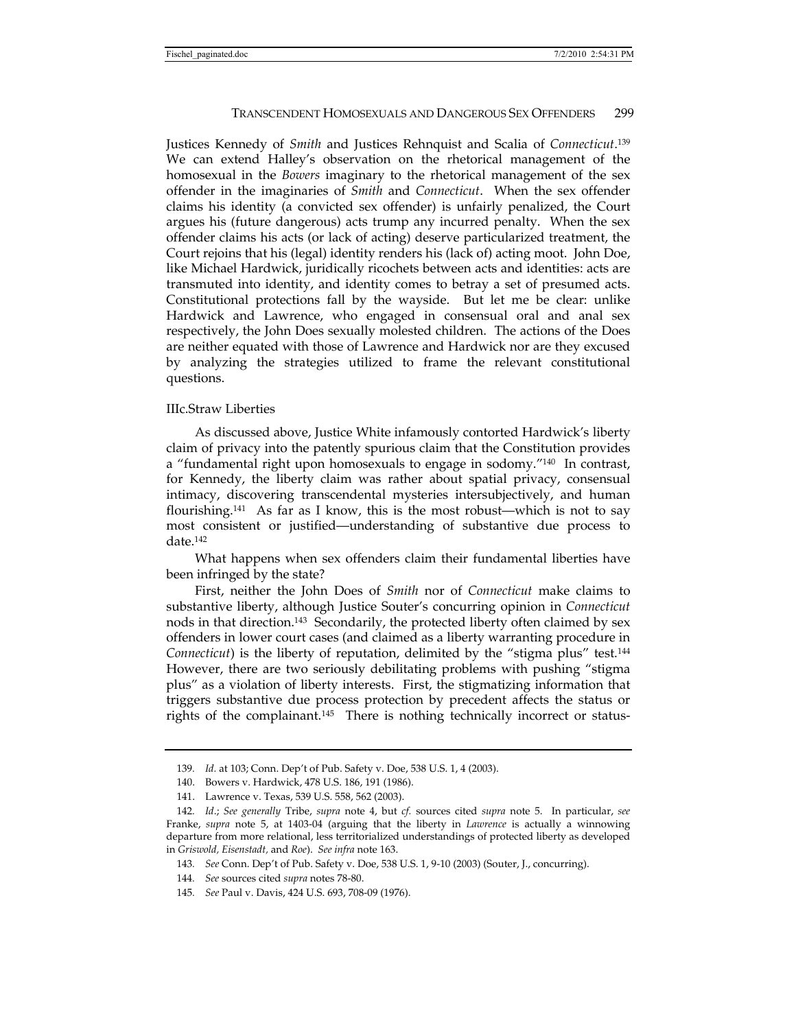Justices Kennedy of *Smith* and Justices Rehnquist and Scalia of *Connecticut*. 139 We can extend Halley's observation on the rhetorical management of the homosexual in the *Bowers* imaginary to the rhetorical management of the sex offender in the imaginaries of *Smith* and *Connecticut*. When the sex offender claims his identity (a convicted sex offender) is unfairly penalized, the Court argues his (future dangerous) acts trump any incurred penalty. When the sex offender claims his acts (or lack of acting) deserve particularized treatment, the Court rejoins that his (legal) identity renders his (lack of) acting moot. John Doe, like Michael Hardwick, juridically ricochets between acts and identities: acts are transmuted into identity, and identity comes to betray a set of presumed acts. Constitutional protections fall by the wayside. But let me be clear: unlike Hardwick and Lawrence, who engaged in consensual oral and anal sex respectively, the John Does sexually molested children. The actions of the Does are neither equated with those of Lawrence and Hardwick nor are they excused by analyzing the strategies utilized to frame the relevant constitutional questions.

# IIIc.Straw Liberties

As discussed above, Justice White infamously contorted Hardwick's liberty claim of privacy into the patently spurious claim that the Constitution provides a "fundamental right upon homosexuals to engage in sodomy."140 In contrast, for Kennedy, the liberty claim was rather about spatial privacy, consensual intimacy, discovering transcendental mysteries intersubjectively, and human flourishing.141 As far as I know, this is the most robust—which is not to say most consistent or justified—understanding of substantive due process to date.142

What happens when sex offenders claim their fundamental liberties have been infringed by the state?

First, neither the John Does of *Smith* nor of *Connecticut* make claims to substantive liberty, although Justice Souter's concurring opinion in *Connecticut* nods in that direction.143 Secondarily, the protected liberty often claimed by sex offenders in lower court cases (and claimed as a liberty warranting procedure in *Connecticut*) is the liberty of reputation, delimited by the "stigma plus" test.<sup>144</sup> However, there are two seriously debilitating problems with pushing "stigma plus" as a violation of liberty interests. First, the stigmatizing information that triggers substantive due process protection by precedent affects the status or rights of the complainant.145 There is nothing technically incorrect or status-

<sup>139</sup>*. Id.* at 103; Conn. Dep't of Pub. Safety v. Doe, 538 U.S. 1, 4 (2003).

 <sup>140.</sup> Bowers v. Hardwick, 478 U.S. 186, 191 (1986).

 <sup>141.</sup> Lawrence v. Texas, 539 U.S. 558, 562 (2003).

<sup>142</sup>*. Id*.; *See generally* Tribe, *supra* note 4, but *cf.* sources cited *supra* note 5. In particular, *see* Franke, *supra* note 5, at 1403-04 (arguing that the liberty in *Lawrence* is actually a winnowing departure from more relational, less territorialized understandings of protected liberty as developed in *Griswold, Eisenstadt,* and *Roe*). *See infra* note 163.

<sup>143</sup>*. See* Conn. Dep't of Pub. Safety v. Doe, 538 U.S. 1, 9-10 (2003) (Souter, J., concurring).

<sup>144</sup>*. See* sources cited *supra* notes 78-80.

<sup>145</sup>*. See* Paul v. Davis, 424 U.S. 693, 708-09 (1976).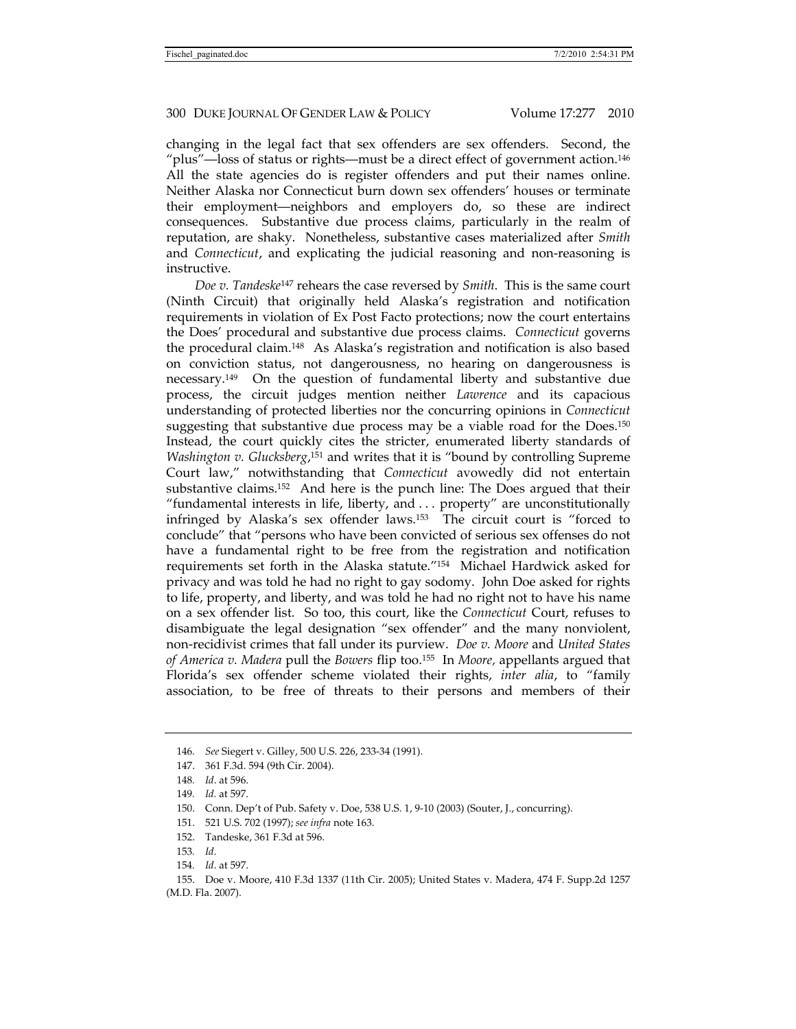changing in the legal fact that sex offenders are sex offenders. Second, the "plus"—loss of status or rights—must be a direct effect of government action.146 All the state agencies do is register offenders and put their names online. Neither Alaska nor Connecticut burn down sex offenders' houses or terminate their employment—neighbors and employers do, so these are indirect consequences. Substantive due process claims, particularly in the realm of reputation, are shaky. Nonetheless, substantive cases materialized after *Smith*  and *Connecticut*, and explicating the judicial reasoning and non-reasoning is instructive.

*Doe v. Tandeske*147 rehears the case reversed by *Smith*. This is the same court (Ninth Circuit) that originally held Alaska's registration and notification requirements in violation of Ex Post Facto protections; now the court entertains the Does' procedural and substantive due process claims. *Connecticut* governs the procedural claim.148 As Alaska's registration and notification is also based on conviction status, not dangerousness, no hearing on dangerousness is necessary.149 On the question of fundamental liberty and substantive due process, the circuit judges mention neither *Lawrence* and its capacious understanding of protected liberties nor the concurring opinions in *Connecticut*  suggesting that substantive due process may be a viable road for the Does.<sup>150</sup> Instead, the court quickly cites the stricter, enumerated liberty standards of *Washington v. Glucksberg*, 151 and writes that it is "bound by controlling Supreme Court law," notwithstanding that *Connecticut* avowedly did not entertain substantive claims.152 And here is the punch line: The Does argued that their "fundamental interests in life, liberty, and . . . property" are unconstitutionally infringed by Alaska's sex offender laws.153 The circuit court is "forced to conclude" that "persons who have been convicted of serious sex offenses do not have a fundamental right to be free from the registration and notification requirements set forth in the Alaska statute."154 Michael Hardwick asked for privacy and was told he had no right to gay sodomy. John Doe asked for rights to life, property, and liberty, and was told he had no right not to have his name on a sex offender list. So too, this court, like the *Connecticut* Court, refuses to disambiguate the legal designation "sex offender" and the many nonviolent, non-recidivist crimes that fall under its purview. *Doe v. Moore* and *United States of America v. Madera* pull the *Bowers* flip too.155 In *Moore,* appellants argued that Florida's sex offender scheme violated their rights, *inter alia*, to "family association, to be free of threats to their persons and members of their

<sup>146</sup>*. See* Siegert v. Gilley, 500 U.S. 226, 233-34 (1991).

 <sup>147. 361</sup> F.3d. 594 (9th Cir. 2004).

<sup>148</sup>*. Id*. at 596.

<sup>149</sup>*. Id.* at 597.

 <sup>150.</sup> Conn. Dep't of Pub. Safety v. Doe, 538 U.S. 1, 9-10 (2003) (Souter, J., concurring).

 <sup>151. 521</sup> U.S. 702 (1997); *see infra* note 163.

 <sup>152.</sup> Tandeske, 361 F.3d at 596.

<sup>153</sup>*. Id.*

<sup>154</sup>*. Id*. at 597.

 <sup>155.</sup> Doe v. Moore, 410 F.3d 1337 (11th Cir. 2005); United States v. Madera, 474 F. Supp.2d 1257 (M.D. Fla. 2007).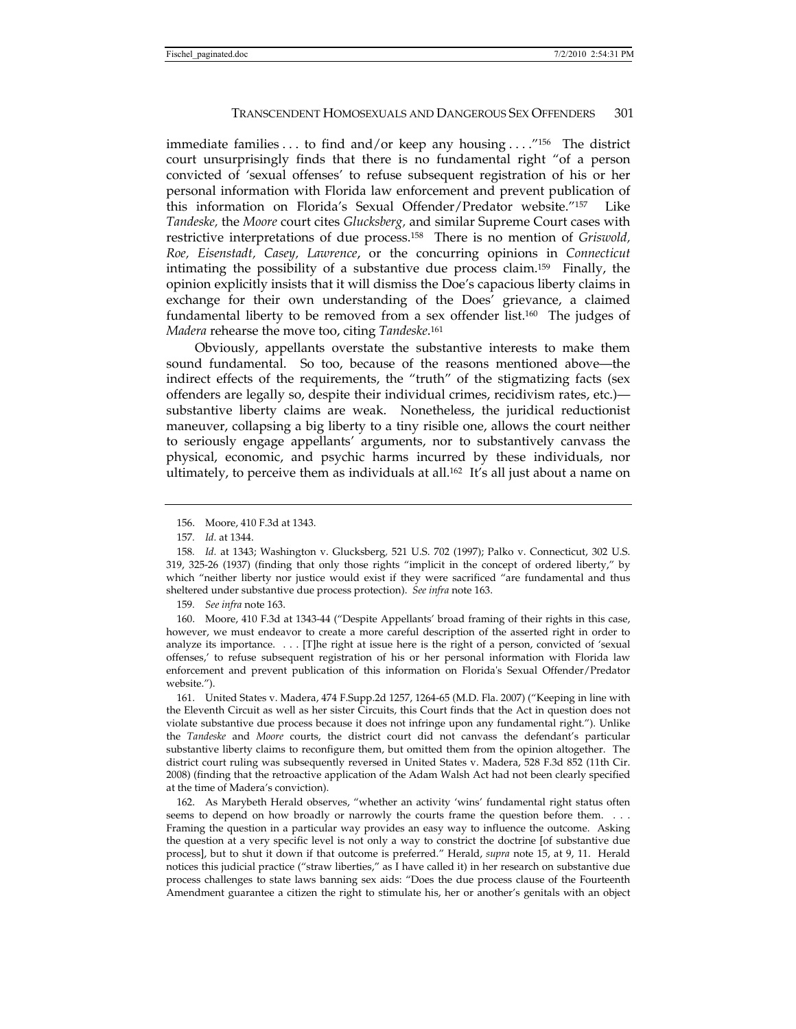immediate families . . . to find and/or keep any housing . . . ."156 The district court unsurprisingly finds that there is no fundamental right "of a person convicted of 'sexual offenses' to refuse subsequent registration of his or her personal information with Florida law enforcement and prevent publication of this information on Florida's Sexual Offender/Predator website."157 Like *Tandeske,* the *Moore* court cites *Glucksberg,* and similar Supreme Court cases with restrictive interpretations of due process.158 There is no mention of *Griswold, Roe, Eisenstadt, Casey, Lawrence*, or the concurring opinions in *Connecticut*  intimating the possibility of a substantive due process claim.159 Finally, the opinion explicitly insists that it will dismiss the Doe's capacious liberty claims in exchange for their own understanding of the Does' grievance, a claimed fundamental liberty to be removed from a sex offender list.160 The judges of *Madera* rehearse the move too, citing *Tandeske*. 161

Obviously, appellants overstate the substantive interests to make them sound fundamental. So too, because of the reasons mentioned above—the indirect effects of the requirements, the "truth" of the stigmatizing facts (sex offenders are legally so, despite their individual crimes, recidivism rates, etc.) substantive liberty claims are weak. Nonetheless, the juridical reductionist maneuver, collapsing a big liberty to a tiny risible one, allows the court neither to seriously engage appellants' arguments, nor to substantively canvass the physical, economic, and psychic harms incurred by these individuals, nor ultimately, to perceive them as individuals at all.162 It's all just about a name on

159*. See infra* note 163.

 160. Moore, 410 F.3d at 1343-44 ("Despite Appellants' broad framing of their rights in this case, however, we must endeavor to create a more careful description of the asserted right in order to analyze its importance. . . . [T]he right at issue here is the right of a person, convicted of 'sexual offenses,' to refuse subsequent registration of his or her personal information with Florida law enforcement and prevent publication of this information on Florida's Sexual Offender/Predator website.").

 161. United States v. Madera, 474 F.Supp.2d 1257, 1264-65 (M.D. Fla. 2007) ("Keeping in line with the Eleventh Circuit as well as her sister Circuits, this Court finds that the Act in question does not violate substantive due process because it does not infringe upon any fundamental right."). Unlike the *Tandeske* and *Moore* courts, the district court did not canvass the defendant's particular substantive liberty claims to reconfigure them, but omitted them from the opinion altogether. The district court ruling was subsequently reversed in United States v. Madera, 528 F.3d 852 (11th Cir. 2008) (finding that the retroactive application of the Adam Walsh Act had not been clearly specified at the time of Madera's conviction).

 162. As Marybeth Herald observes, "whether an activity 'wins' fundamental right status often seems to depend on how broadly or narrowly the courts frame the question before them. . . . Framing the question in a particular way provides an easy way to influence the outcome. Asking the question at a very specific level is not only a way to constrict the doctrine [of substantive due process], but to shut it down if that outcome is preferred." Herald, *supra* note 15, at 9, 11. Herald notices this judicial practice ("straw liberties," as I have called it) in her research on substantive due process challenges to state laws banning sex aids: "Does the due process clause of the Fourteenth Amendment guarantee a citizen the right to stimulate his, her or another's genitals with an object

 <sup>156.</sup> Moore, 410 F.3d at 1343.

<sup>157</sup>*. Id.* at 1344.

<sup>158</sup>*. Id.* at 1343; Washington v. Glucksberg*,* 521 U.S. 702 (1997); Palko v. Connecticut, 302 U.S. 319, 325-26 (1937) (finding that only those rights "implicit in the concept of ordered liberty," by which "neither liberty nor justice would exist if they were sacrificed "are fundamental and thus sheltered under substantive due process protection). *See infra* note 163.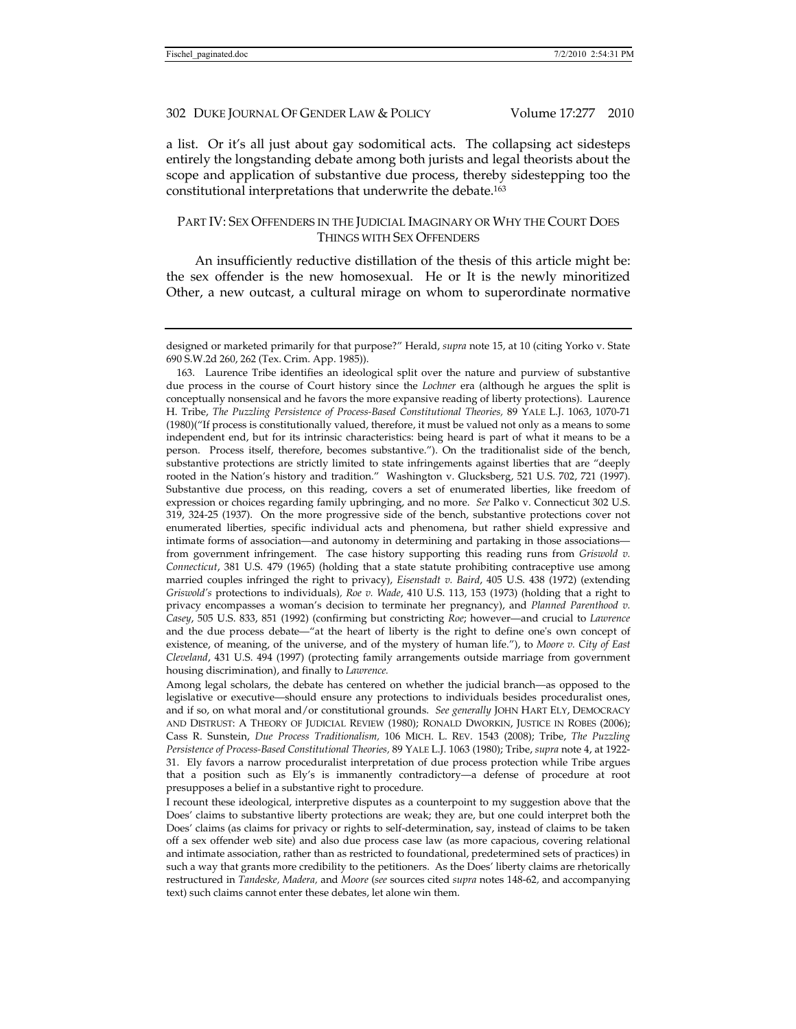a list. Or it's all just about gay sodomitical acts. The collapsing act sidesteps entirely the longstanding debate among both jurists and legal theorists about the scope and application of substantive due process, thereby sidestepping too the constitutional interpretations that underwrite the debate.163

# PART IV: SEX OFFENDERS IN THE JUDICIAL IMAGINARY OR WHY THE COURT DOES THINGS WITH SEX OFFENDERS

An insufficiently reductive distillation of the thesis of this article might be: the sex offender is the new homosexual. He or It is the newly minoritized Other, a new outcast, a cultural mirage on whom to superordinate normative

 163. Laurence Tribe identifies an ideological split over the nature and purview of substantive due process in the course of Court history since the *Lochner* era (although he argues the split is conceptually nonsensical and he favors the more expansive reading of liberty protections). Laurence H. Tribe, *The Puzzling Persistence of Process-Based Constitutional Theories,* 89 YALE L.J. 1063, 1070-71 (1980)("If process is constitutionally valued, therefore, it must be valued not only as a means to some independent end, but for its intrinsic characteristics: being heard is part of what it means to be a person. Process itself, therefore, becomes substantive."). On the traditionalist side of the bench, substantive protections are strictly limited to state infringements against liberties that are "deeply rooted in the Nation's history and tradition." Washington v. Glucksberg, 521 U.S. 702, 721 (1997). Substantive due process, on this reading, covers a set of enumerated liberties, like freedom of expression or choices regarding family upbringing, and no more. *See* Palko v. Connecticut 302 U.S. 319, 324-25 (1937). On the more progressive side of the bench, substantive protections cover not enumerated liberties, specific individual acts and phenomena, but rather shield expressive and intimate forms of association—and autonomy in determining and partaking in those associations from government infringement. The case history supporting this reading runs from *Griswold v. Connecticut*, 381 U.S. 479 (1965) (holding that a state statute prohibiting contraceptive use among married couples infringed the right to privacy), *Eisenstadt v. Baird*, 405 U.S. 438 (1972) (extending *Griswold's* protections to individuals)*, Roe v. Wade*, 410 U.S. 113, 153 (1973) (holding that a right to privacy encompasses a woman's decision to terminate her pregnancy), and *Planned Parenthood v. Casey*, 505 U.S. 833, 851 (1992) (confirming but constricting *Roe*; however—and crucial to *Lawrence*  and the due process debate—"at the heart of liberty is the right to define one's own concept of existence, of meaning, of the universe, and of the mystery of human life."), to *Moore v. City of East Cleveland*, 431 U.S. 494 (1997) (protecting family arrangements outside marriage from government housing discrimination), and finally to *Lawrence.*

Among legal scholars, the debate has centered on whether the judicial branch—as opposed to the legislative or executive—should ensure any protections to individuals besides proceduralist ones, and if so, on what moral and/or constitutional grounds. *See generally* JOHN HART ELY, DEMOCRACY AND DISTRUST: A THEORY OF JUDICIAL REVIEW (1980); RONALD DWORKIN, JUSTICE IN ROBES (2006); Cass R. Sunstein, *Due Process Traditionalism,* 106 MICH. L. REV. 1543 (2008); Tribe, *The Puzzling Persistence of Process-Based Constitutional Theories,* 89 YALE L.J. 1063 (1980); Tribe, *supra* note 4, at 1922- 31. Ely favors a narrow proceduralist interpretation of due process protection while Tribe argues that a position such as Ely's is immanently contradictory—a defense of procedure at root presupposes a belief in a substantive right to procedure.

I recount these ideological, interpretive disputes as a counterpoint to my suggestion above that the Does' claims to substantive liberty protections are weak; they are, but one could interpret both the Does' claims (as claims for privacy or rights to self-determination, say, instead of claims to be taken off a sex offender web site) and also due process case law (as more capacious, covering relational and intimate association, rather than as restricted to foundational, predetermined sets of practices) in such a way that grants more credibility to the petitioners. As the Does' liberty claims are rhetorically restructured in *Tandeske, Madera,* and *Moore* (*see* sources cited *supra* notes 148-62*,* and accompanying text) such claims cannot enter these debates, let alone win them.

designed or marketed primarily for that purpose?" Herald, *supra* note 15, at 10 (citing Yorko v. State 690 S.W.2d 260, 262 (Tex. Crim. App. 1985)).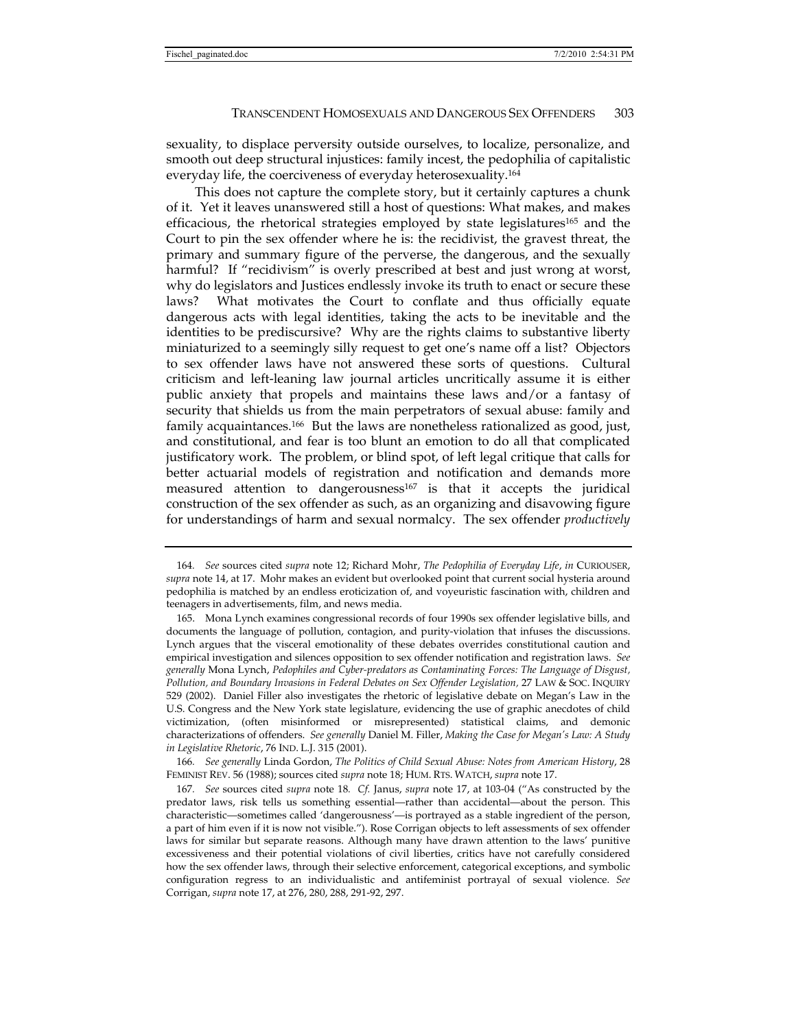sexuality, to displace perversity outside ourselves, to localize, personalize, and smooth out deep structural injustices: family incest, the pedophilia of capitalistic everyday life, the coerciveness of everyday heterosexuality.164

This does not capture the complete story, but it certainly captures a chunk of it. Yet it leaves unanswered still a host of questions: What makes, and makes efficacious, the rhetorical strategies employed by state legislatures<sup>165</sup> and the Court to pin the sex offender where he is: the recidivist, the gravest threat, the primary and summary figure of the perverse, the dangerous, and the sexually harmful? If "recidivism" is overly prescribed at best and just wrong at worst, why do legislators and Justices endlessly invoke its truth to enact or secure these laws? What motivates the Court to conflate and thus officially equate dangerous acts with legal identities, taking the acts to be inevitable and the identities to be prediscursive? Why are the rights claims to substantive liberty miniaturized to a seemingly silly request to get one's name off a list? Objectors to sex offender laws have not answered these sorts of questions. Cultural criticism and left-leaning law journal articles uncritically assume it is either public anxiety that propels and maintains these laws and/or a fantasy of security that shields us from the main perpetrators of sexual abuse: family and family acquaintances.166 But the laws are nonetheless rationalized as good, just, and constitutional, and fear is too blunt an emotion to do all that complicated justificatory work. The problem, or blind spot, of left legal critique that calls for better actuarial models of registration and notification and demands more measured attention to dangerousness<sup>167</sup> is that it accepts the juridical construction of the sex offender as such, as an organizing and disavowing figure for understandings of harm and sexual normalcy. The sex offender *productively*

166*. See generally* Linda Gordon, *The Politics of Child Sexual Abuse: Notes from American History*, 28 FEMINIST REV. 56 (1988); sources cited *supra* note 18; HUM. RTS. WATCH, *supra* note 17.

<sup>164</sup>*. See* sources cited *supra* note 12; Richard Mohr, *The Pedophilia of Everyday Life*, *in* CURIOUSER, *supra* note 14, at 17. Mohr makes an evident but overlooked point that current social hysteria around pedophilia is matched by an endless eroticization of, and voyeuristic fascination with, children and teenagers in advertisements, film, and news media.

 <sup>165.</sup> Mona Lynch examines congressional records of four 1990s sex offender legislative bills, and documents the language of pollution, contagion, and purity-violation that infuses the discussions. Lynch argues that the visceral emotionality of these debates overrides constitutional caution and empirical investigation and silences opposition to sex offender notification and registration laws. *See generally* Mona Lynch, *Pedophiles and Cyber-predators as Contaminating Forces: The Language of Disgust, Pollution, and Boundary Invasions in Federal Debates on Sex Offender Legislation,* 27 LAW & SOC. INQUIRY 529 (2002). Daniel Filler also investigates the rhetoric of legislative debate on Megan's Law in the U.S. Congress and the New York state legislature, evidencing the use of graphic anecdotes of child victimization, (often misinformed or misrepresented) statistical claims, and demonic characterizations of offenders. *See generally* Daniel M. Filler, *Making the Case for Megan's Law: A Study in Legislative Rhetoric*, 76 IND. L.J. 315 (2001).

<sup>167</sup>*. See* sources cited *supra* note 18*. Cf.* Janus, *supra* note 17, at 103-04 ("As constructed by the predator laws, risk tells us something essential—rather than accidental—about the person. This characteristic—sometimes called 'dangerousness'—is portrayed as a stable ingredient of the person, a part of him even if it is now not visible."). Rose Corrigan objects to left assessments of sex offender laws for similar but separate reasons. Although many have drawn attention to the laws' punitive excessiveness and their potential violations of civil liberties, critics have not carefully considered how the sex offender laws, through their selective enforcement, categorical exceptions, and symbolic configuration regress to an individualistic and antifeminist portrayal of sexual violence. *See*  Corrigan, *supra* note 17, at 276, 280, 288, 291-92, 297.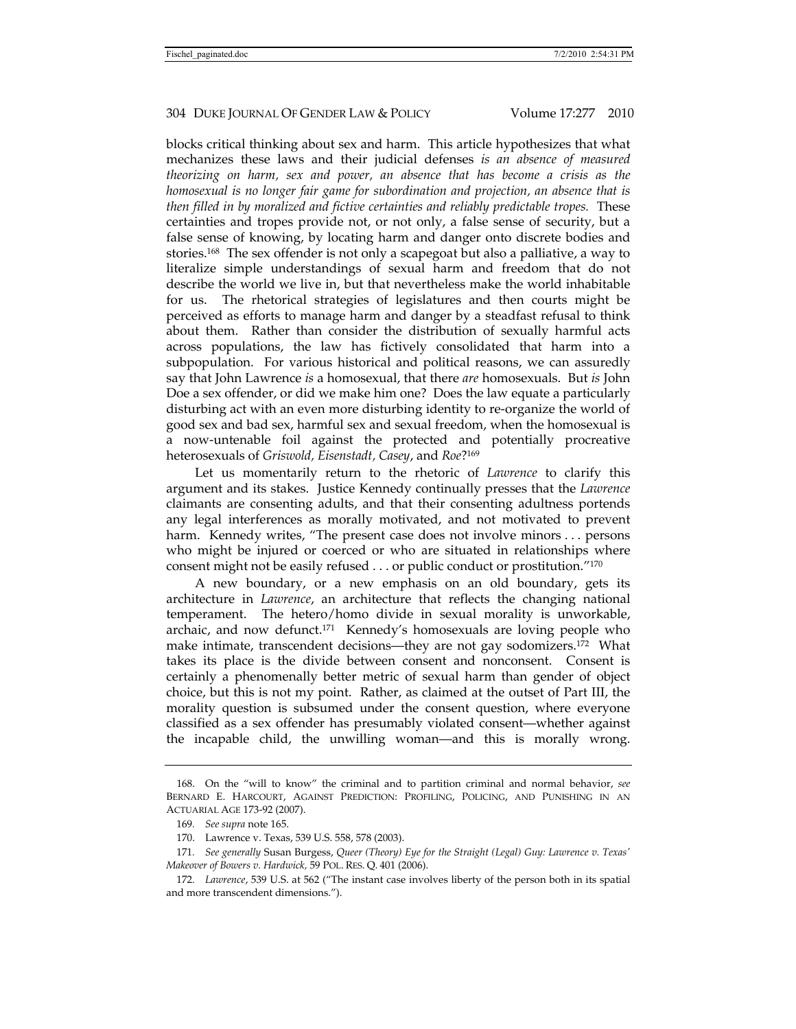blocks critical thinking about sex and harm. This article hypothesizes that what mechanizes these laws and their judicial defenses *is an absence of measured theorizing on harm, sex and power, an absence that has become a crisis as the homosexual is no longer fair game for subordination and projection, an absence that is then filled in by moralized and fictive certainties and reliably predictable tropes.* These certainties and tropes provide not, or not only, a false sense of security, but a false sense of knowing, by locating harm and danger onto discrete bodies and stories.168 The sex offender is not only a scapegoat but also a palliative, a way to literalize simple understandings of sexual harm and freedom that do not describe the world we live in, but that nevertheless make the world inhabitable for us. The rhetorical strategies of legislatures and then courts might be perceived as efforts to manage harm and danger by a steadfast refusal to think about them. Rather than consider the distribution of sexually harmful acts across populations, the law has fictively consolidated that harm into a subpopulation. For various historical and political reasons, we can assuredly say that John Lawrence *is* a homosexual, that there *are* homosexuals. But *is* John Doe a sex offender, or did we make him one? Does the law equate a particularly disturbing act with an even more disturbing identity to re-organize the world of good sex and bad sex, harmful sex and sexual freedom, when the homosexual is a now-untenable foil against the protected and potentially procreative heterosexuals of *Griswold, Eisenstadt, Casey*, and *Roe*?169

Let us momentarily return to the rhetoric of *Lawrence* to clarify this argument and its stakes. Justice Kennedy continually presses that the *Lawrence*  claimants are consenting adults, and that their consenting adultness portends any legal interferences as morally motivated, and not motivated to prevent harm. Kennedy writes, "The present case does not involve minors . . . persons who might be injured or coerced or who are situated in relationships where consent might not be easily refused . . . or public conduct or prostitution."170

A new boundary, or a new emphasis on an old boundary, gets its architecture in *Lawrence*, an architecture that reflects the changing national temperament. The hetero/homo divide in sexual morality is unworkable, archaic, and now defunct.171 Kennedy's homosexuals are loving people who make intimate, transcendent decisions—they are not gay sodomizers.172 What takes its place is the divide between consent and nonconsent. Consent is certainly a phenomenally better metric of sexual harm than gender of object choice, but this is not my point. Rather, as claimed at the outset of Part III, the morality question is subsumed under the consent question, where everyone classified as a sex offender has presumably violated consent—whether against the incapable child, the unwilling woman—and this is morally wrong.

 <sup>168.</sup> On the "will to know" the criminal and to partition criminal and normal behavior, *see*  BERNARD E. HARCOURT, AGAINST PREDICTION: PROFILING, POLICING, AND PUNISHING IN AN ACTUARIAL AGE 173-92 (2007).

<sup>169</sup>*. See supra* note 165.

 <sup>170.</sup> Lawrence v. Texas, 539 U.S. 558, 578 (2003).

<sup>171</sup>*. See generally* Susan Burgess, *Queer (Theory) Eye for the Straight (Legal) Guy: Lawrence v. Texas' Makeover of Bowers v. Hardwick,* 59 POL. RES. Q. 401 (2006).

<sup>172</sup>*. Lawrence*, 539 U.S. at 562 ("The instant case involves liberty of the person both in its spatial and more transcendent dimensions.").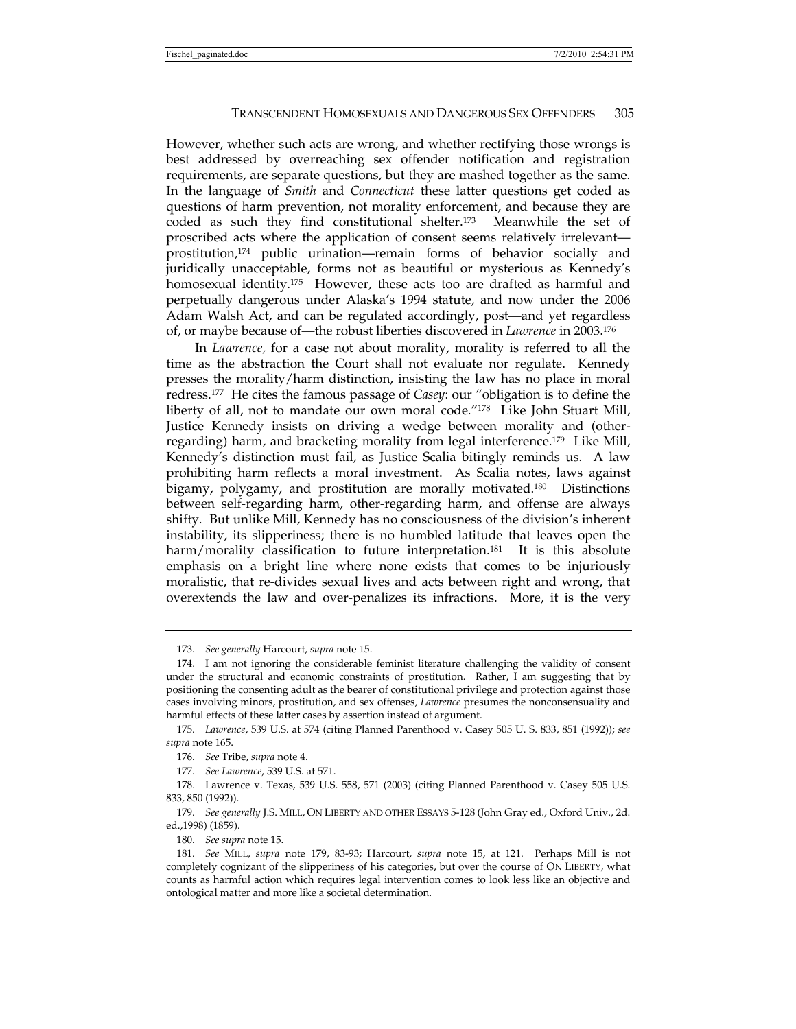However, whether such acts are wrong, and whether rectifying those wrongs is best addressed by overreaching sex offender notification and registration requirements, are separate questions, but they are mashed together as the same. In the language of *Smith* and *Connecticut* these latter questions get coded as questions of harm prevention, not morality enforcement, and because they are coded as such they find constitutional shelter.173 Meanwhile the set of proscribed acts where the application of consent seems relatively irrelevant prostitution,174 public urination—remain forms of behavior socially and juridically unacceptable, forms not as beautiful or mysterious as Kennedy's homosexual identity.<sup>175</sup> However, these acts too are drafted as harmful and perpetually dangerous under Alaska's 1994 statute, and now under the 2006 Adam Walsh Act, and can be regulated accordingly, post—and yet regardless of, or maybe because of—the robust liberties discovered in *Lawrence* in 2003.176

In *Lawrence,* for a case not about morality, morality is referred to all the time as the abstraction the Court shall not evaluate nor regulate. Kennedy presses the morality/harm distinction, insisting the law has no place in moral redress.177 He cites the famous passage of *Casey*: our "obligation is to define the liberty of all, not to mandate our own moral code."178 Like John Stuart Mill, Justice Kennedy insists on driving a wedge between morality and (otherregarding) harm, and bracketing morality from legal interference.179 Like Mill, Kennedy's distinction must fail, as Justice Scalia bitingly reminds us. A law prohibiting harm reflects a moral investment. As Scalia notes, laws against bigamy, polygamy, and prostitution are morally motivated.<sup>180</sup> Distinctions between self-regarding harm, other-regarding harm, and offense are always shifty. But unlike Mill, Kennedy has no consciousness of the division's inherent instability, its slipperiness; there is no humbled latitude that leaves open the harm/morality classification to future interpretation.<sup>181</sup> It is this absolute emphasis on a bright line where none exists that comes to be injuriously moralistic, that re-divides sexual lives and acts between right and wrong, that overextends the law and over-penalizes its infractions. More, it is the very

<sup>173</sup>*. See generally* Harcourt, *supra* note 15.

 <sup>174.</sup> I am not ignoring the considerable feminist literature challenging the validity of consent under the structural and economic constraints of prostitution. Rather, I am suggesting that by positioning the consenting adult as the bearer of constitutional privilege and protection against those cases involving minors, prostitution, and sex offenses, *Lawrence* presumes the nonconsensuality and harmful effects of these latter cases by assertion instead of argument.

<sup>175</sup>*. Lawrence*, 539 U.S. at 574 (citing Planned Parenthood v. Casey 505 U. S. 833, 851 (1992)); *see supra* note 165.

<sup>176</sup>*. See* Tribe, *supra* note 4.

<sup>177</sup>*. See Lawrence*, 539 U.S. at 571.

 <sup>178.</sup> Lawrence v. Texas, 539 U.S. 558, 571 (2003) (citing Planned Parenthood v. Casey 505 U.S. 833, 850 (1992)).

<sup>179</sup>*. See generally* J.S. MILL, ON LIBERTY AND OTHER ESSAYS 5-128 (John Gray ed., Oxford Univ., 2d. ed.,1998) (1859).

<sup>180</sup>*. See supra* note 15.

<sup>181</sup>*. See* MILL, *supra* note 179, 83-93; Harcourt, *supra* note 15, at 121. Perhaps Mill is not completely cognizant of the slipperiness of his categories, but over the course of ON LIBERTY, what counts as harmful action which requires legal intervention comes to look less like an objective and ontological matter and more like a societal determination.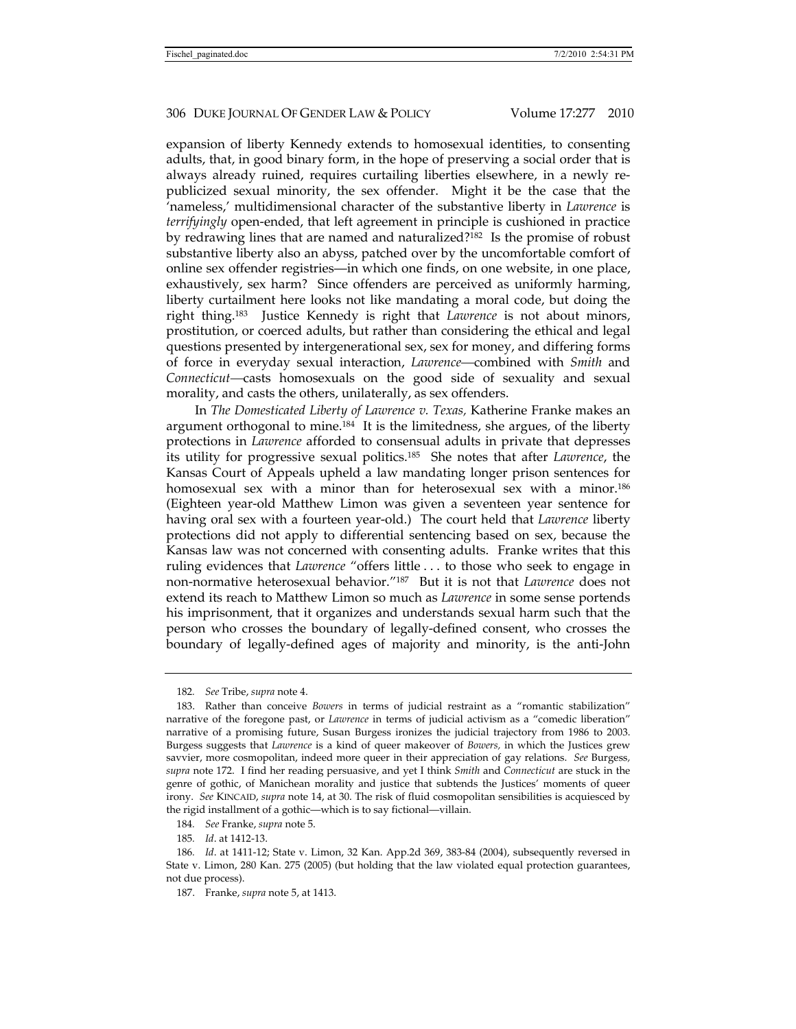expansion of liberty Kennedy extends to homosexual identities, to consenting adults, that, in good binary form, in the hope of preserving a social order that is always already ruined, requires curtailing liberties elsewhere, in a newly republicized sexual minority, the sex offender. Might it be the case that the 'nameless,' multidimensional character of the substantive liberty in *Lawrence* is *terrifyingly* open-ended, that left agreement in principle is cushioned in practice by redrawing lines that are named and naturalized?182 Is the promise of robust substantive liberty also an abyss, patched over by the uncomfortable comfort of online sex offender registries—in which one finds, on one website, in one place, exhaustively, sex harm? Since offenders are perceived as uniformly harming, liberty curtailment here looks not like mandating a moral code, but doing the right thing.183 Justice Kennedy is right that *Lawrence* is not about minors, prostitution, or coerced adults, but rather than considering the ethical and legal questions presented by intergenerational sex, sex for money, and differing forms of force in everyday sexual interaction, *Lawrence—*combined with *Smith* and *Connecticut—*casts homosexuals on the good side of sexuality and sexual morality, and casts the others, unilaterally, as sex offenders.

In *The Domesticated Liberty of Lawrence v. Texas,* Katherine Franke makes an argument orthogonal to mine.184 It is the limitedness, she argues, of the liberty protections in *Lawrence* afforded to consensual adults in private that depresses its utility for progressive sexual politics.185 She notes that after *Lawrence*, the Kansas Court of Appeals upheld a law mandating longer prison sentences for homosexual sex with a minor than for heterosexual sex with a minor.<sup>186</sup> (Eighteen year-old Matthew Limon was given a seventeen year sentence for having oral sex with a fourteen year-old.) The court held that *Lawrence* liberty protections did not apply to differential sentencing based on sex, because the Kansas law was not concerned with consenting adults. Franke writes that this ruling evidences that *Lawrence* "offers little . . . to those who seek to engage in non-normative heterosexual behavior."187 But it is not that *Lawrence* does not extend its reach to Matthew Limon so much as *Lawrence* in some sense portends his imprisonment, that it organizes and understands sexual harm such that the person who crosses the boundary of legally-defined consent, who crosses the boundary of legally-defined ages of majority and minority, is the anti-John

<sup>182</sup>*. See* Tribe, *supra* note 4.

 <sup>183.</sup> Rather than conceive *Bowers* in terms of judicial restraint as a "romantic stabilization" narrative of the foregone past, or *Lawrence* in terms of judicial activism as a "comedic liberation" narrative of a promising future, Susan Burgess ironizes the judicial trajectory from 1986 to 2003. Burgess suggests that *Lawrence* is a kind of queer makeover of *Bowers,* in which the Justices grew savvier, more cosmopolitan, indeed more queer in their appreciation of gay relations. *See* Burgess*, supra* note 172. I find her reading persuasive, and yet I think *Smith* and *Connecticut* are stuck in the genre of gothic, of Manichean morality and justice that subtends the Justices' moments of queer irony. *See* KINCAID, *supra* note 14, at 30. The risk of fluid cosmopolitan sensibilities is acquiesced by the rigid installment of a gothic—which is to say fictional—villain.

<sup>184</sup>*. See* Franke, *supra* note 5.

<sup>185</sup>*. Id*. at 1412-13.

<sup>186</sup>*. Id*. at 1411-12; State v. Limon, 32 Kan. App.2d 369, 383-84 (2004), subsequently reversed in State v. Limon, 280 Kan. 275 (2005) (but holding that the law violated equal protection guarantees, not due process).

 <sup>187.</sup> Franke, *supra* note 5, at 1413.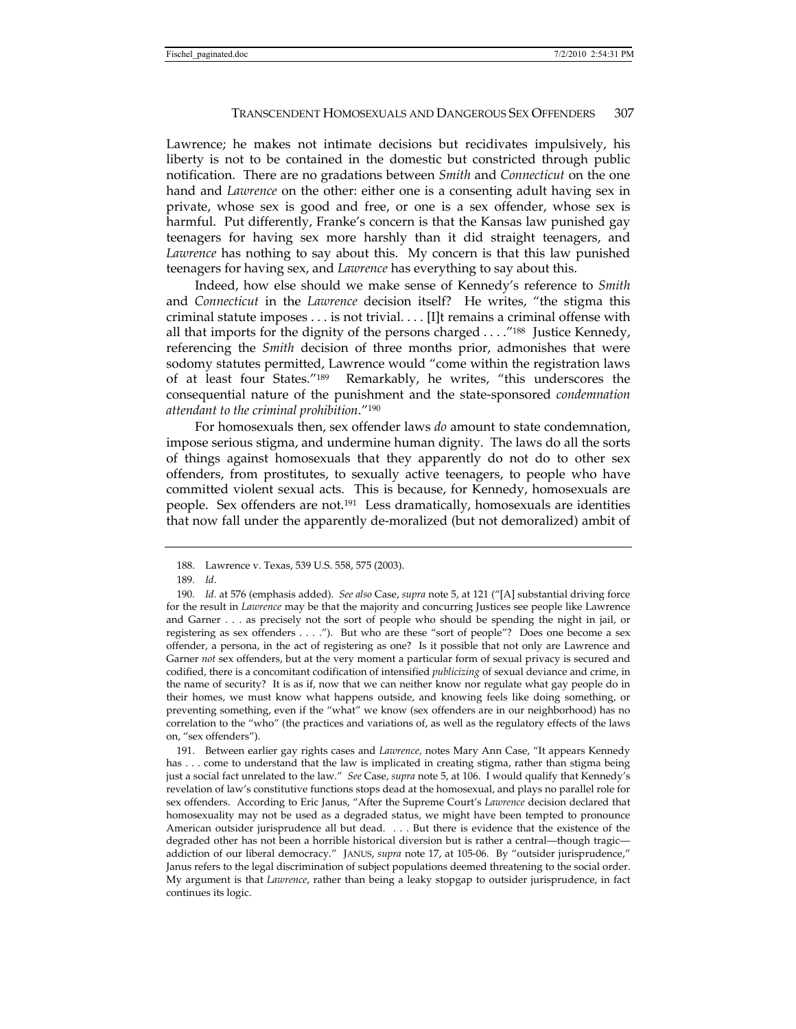Lawrence; he makes not intimate decisions but recidivates impulsively, his liberty is not to be contained in the domestic but constricted through public notification. There are no gradations between *Smith* and *Connecticut* on the one hand and *Lawrence* on the other: either one is a consenting adult having sex in private, whose sex is good and free, or one is a sex offender, whose sex is harmful. Put differently, Franke's concern is that the Kansas law punished gay teenagers for having sex more harshly than it did straight teenagers, and *Lawrence* has nothing to say about this. My concern is that this law punished teenagers for having sex, and *Lawrence* has everything to say about this.

Indeed, how else should we make sense of Kennedy's reference to *Smith*  and *Connecticut* in the *Lawrence* decision itself? He writes, "the stigma this criminal statute imposes . . . is not trivial. . . . [I]t remains a criminal offense with all that imports for the dignity of the persons charged  $\ldots$ .<sup>"188</sup> Justice Kennedy," referencing the *Smith* decision of three months prior, admonishes that were sodomy statutes permitted, Lawrence would "come within the registration laws of at least four States."189 Remarkably, he writes, "this underscores the consequential nature of the punishment and the state-sponsored *condemnation attendant to the criminal prohibition*."190

For homosexuals then, sex offender laws *do* amount to state condemnation, impose serious stigma, and undermine human dignity. The laws do all the sorts of things against homosexuals that they apparently do not do to other sex offenders, from prostitutes, to sexually active teenagers, to people who have committed violent sexual acts. This is because, for Kennedy, homosexuals are people. Sex offenders are not.191 Less dramatically, homosexuals are identities that now fall under the apparently de-moralized (but not demoralized) ambit of

 191. Between earlier gay rights cases and *Lawrence,* notes Mary Ann Case, "It appears Kennedy has . . . come to understand that the law is implicated in creating stigma, rather than stigma being just a social fact unrelated to the law." *See* Case, *supra* note 5, at 106. I would qualify that Kennedy's revelation of law's constitutive functions stops dead at the homosexual, and plays no parallel role for sex offenders. According to Eric Janus, "After the Supreme Court's *Lawrence* decision declared that homosexuality may not be used as a degraded status, we might have been tempted to pronounce American outsider jurisprudence all but dead. . . . But there is evidence that the existence of the degraded other has not been a horrible historical diversion but is rather a central—though tragic addiction of our liberal democracy." JANUS, *supra* note 17, at 105-06. By "outsider jurisprudence," Janus refers to the legal discrimination of subject populations deemed threatening to the social order. My argument is that *Lawrence*, rather than being a leaky stopgap to outsider jurisprudence, in fact continues its logic.

 <sup>188.</sup> Lawrence v. Texas, 539 U.S. 558, 575 (2003).

<sup>189</sup>*. Id*.

<sup>190</sup>*. Id.* at 576 (emphasis added). *See also* Case, *supra* note 5, at 121 ("[A] substantial driving force for the result in *Lawrence* may be that the majority and concurring Justices see people like Lawrence and Garner . . . as precisely not the sort of people who should be spending the night in jail, or registering as sex offenders . . . ."). But who are these "sort of people"? Does one become a sex offender, a persona, in the act of registering as one? Is it possible that not only are Lawrence and Garner *not* sex offenders, but at the very moment a particular form of sexual privacy is secured and codified, there is a concomitant codification of intensified *publicizing* of sexual deviance and crime, in the name of security? It is as if, now that we can neither know nor regulate what gay people do in their homes, we must know what happens outside, and knowing feels like doing something, or preventing something, even if the "what" we know (sex offenders are in our neighborhood) has no correlation to the "who" (the practices and variations of, as well as the regulatory effects of the laws on, "sex offenders").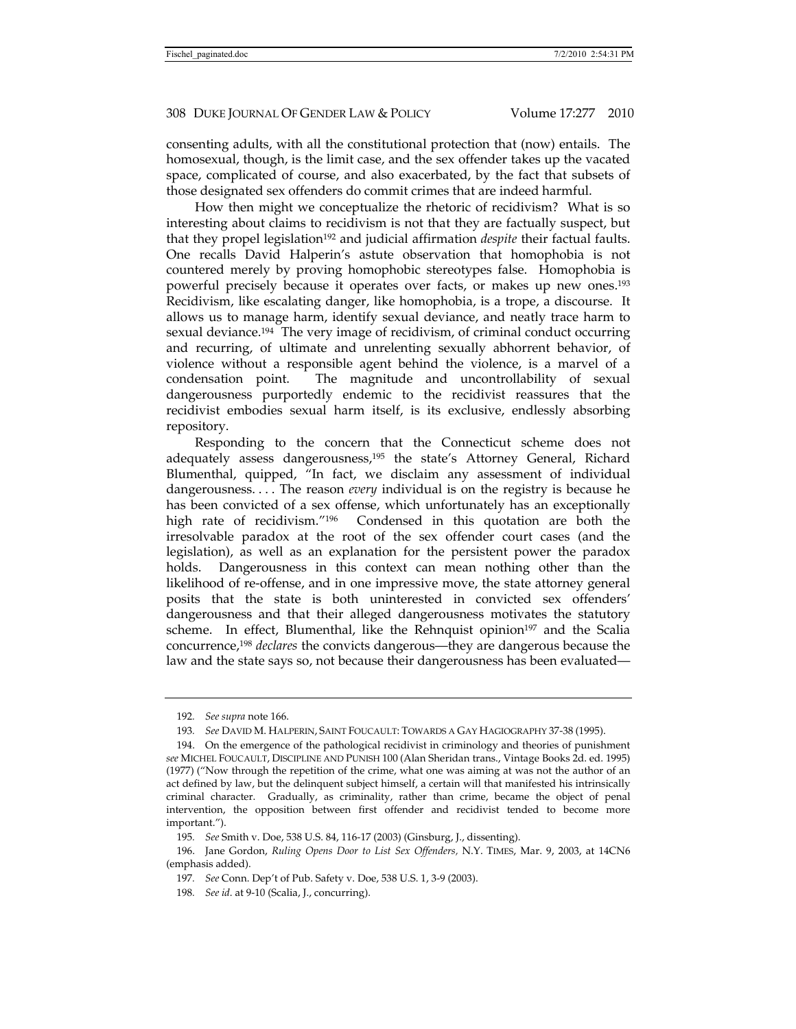consenting adults, with all the constitutional protection that (now) entails. The homosexual, though, is the limit case, and the sex offender takes up the vacated space, complicated of course, and also exacerbated, by the fact that subsets of those designated sex offenders do commit crimes that are indeed harmful.

How then might we conceptualize the rhetoric of recidivism? What is so interesting about claims to recidivism is not that they are factually suspect, but that they propel legislation192 and judicial affirmation *despite* their factual faults. One recalls David Halperin's astute observation that homophobia is not countered merely by proving homophobic stereotypes false. Homophobia is powerful precisely because it operates over facts, or makes up new ones.193 Recidivism, like escalating danger, like homophobia, is a trope, a discourse. It allows us to manage harm, identify sexual deviance, and neatly trace harm to sexual deviance.194 The very image of recidivism, of criminal conduct occurring and recurring, of ultimate and unrelenting sexually abhorrent behavior, of violence without a responsible agent behind the violence, is a marvel of a condensation point. The magnitude and uncontrollability of sexual dangerousness purportedly endemic to the recidivist reassures that the recidivist embodies sexual harm itself, is its exclusive, endlessly absorbing repository.

Responding to the concern that the Connecticut scheme does not adequately assess dangerousness,195 the state's Attorney General, Richard Blumenthal, quipped, "In fact, we disclaim any assessment of individual dangerousness. . . . The reason *every* individual is on the registry is because he has been convicted of a sex offense, which unfortunately has an exceptionally high rate of recidivism."<sup>196</sup> Condensed in this quotation are both the irresolvable paradox at the root of the sex offender court cases (and the legislation), as well as an explanation for the persistent power the paradox holds. Dangerousness in this context can mean nothing other than the likelihood of re-offense, and in one impressive move, the state attorney general posits that the state is both uninterested in convicted sex offenders' dangerousness and that their alleged dangerousness motivates the statutory scheme. In effect, Blumenthal, like the Rehnquist opinion<sup>197</sup> and the Scalia concurrence,198 *declares* the convicts dangerous—they are dangerous because the law and the state says so, not because their dangerousness has been evaluated—

<sup>192</sup>*. See supra* note 166.

<sup>193</sup>*. See* DAVID M. HALPERIN, SAINT FOUCAULT: TOWARDS A GAY HAGIOGRAPHY 37-38 (1995).

 <sup>194.</sup> On the emergence of the pathological recidivist in criminology and theories of punishment *see* MICHEL FOUCAULT, DISCIPLINE AND PUNISH 100 (Alan Sheridan trans., Vintage Books 2d. ed. 1995) (1977) ("Now through the repetition of the crime, what one was aiming at was not the author of an act defined by law, but the delinquent subject himself, a certain will that manifested his intrinsically criminal character. Gradually, as criminality, rather than crime, became the object of penal intervention, the opposition between first offender and recidivist tended to become more important.").

<sup>195</sup>*. See* Smith v. Doe, 538 U.S. 84, 116-17 (2003) (Ginsburg, J., dissenting).

 <sup>196.</sup> Jane Gordon, *Ruling Opens Door to List Sex Offenders,* N.Y. TIMES, Mar. 9, 2003, at 14CN6 (emphasis added).

<sup>197</sup>*. See* Conn. Dep't of Pub. Safety v. Doe, 538 U.S. 1, 3-9 (2003).

<sup>198</sup>*. See id*. at 9-10 (Scalia, J., concurring).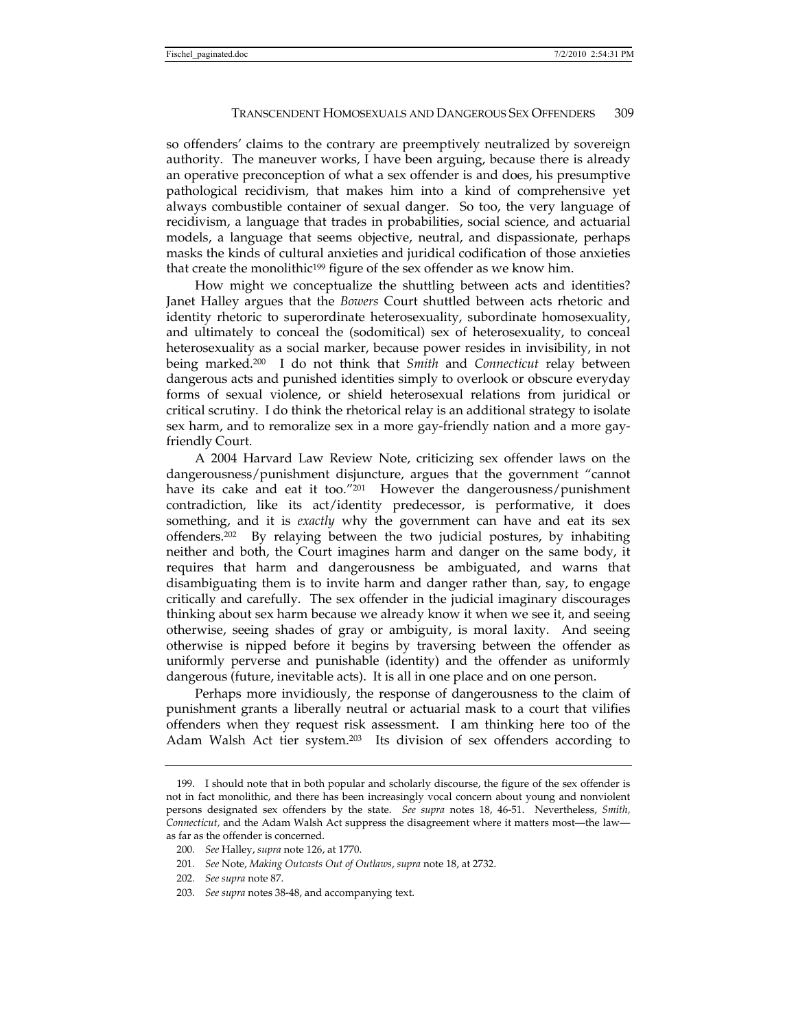so offenders' claims to the contrary are preemptively neutralized by sovereign authority. The maneuver works, I have been arguing, because there is already an operative preconception of what a sex offender is and does, his presumptive pathological recidivism, that makes him into a kind of comprehensive yet always combustible container of sexual danger. So too, the very language of recidivism, a language that trades in probabilities, social science, and actuarial models, a language that seems objective, neutral, and dispassionate, perhaps masks the kinds of cultural anxieties and juridical codification of those anxieties that create the monolithic<sup>199</sup> figure of the sex offender as we know him.

How might we conceptualize the shuttling between acts and identities? Janet Halley argues that the *Bowers* Court shuttled between acts rhetoric and identity rhetoric to superordinate heterosexuality, subordinate homosexuality, and ultimately to conceal the (sodomitical) sex of heterosexuality, to conceal heterosexuality as a social marker, because power resides in invisibility, in not being marked.200 I do not think that *Smith* and *Connecticut* relay between dangerous acts and punished identities simply to overlook or obscure everyday forms of sexual violence, or shield heterosexual relations from juridical or critical scrutiny. I do think the rhetorical relay is an additional strategy to isolate sex harm, and to remoralize sex in a more gay-friendly nation and a more gayfriendly Court.

A 2004 Harvard Law Review Note, criticizing sex offender laws on the dangerousness/punishment disjuncture, argues that the government "cannot have its cake and eat it too."201 However the dangerousness/punishment contradiction, like its act/identity predecessor, is performative, it does something, and it is *exactly* why the government can have and eat its sex offenders.202 By relaying between the two judicial postures, by inhabiting neither and both, the Court imagines harm and danger on the same body, it requires that harm and dangerousness be ambiguated, and warns that disambiguating them is to invite harm and danger rather than, say, to engage critically and carefully. The sex offender in the judicial imaginary discourages thinking about sex harm because we already know it when we see it, and seeing otherwise, seeing shades of gray or ambiguity, is moral laxity. And seeing otherwise is nipped before it begins by traversing between the offender as uniformly perverse and punishable (identity) and the offender as uniformly dangerous (future, inevitable acts). It is all in one place and on one person.

Perhaps more invidiously, the response of dangerousness to the claim of punishment grants a liberally neutral or actuarial mask to a court that vilifies offenders when they request risk assessment. I am thinking here too of the Adam Walsh Act tier system.203 Its division of sex offenders according to

 <sup>199.</sup> I should note that in both popular and scholarly discourse, the figure of the sex offender is not in fact monolithic, and there has been increasingly vocal concern about young and nonviolent persons designated sex offenders by the state. *See supra* notes 18, 46-51. Nevertheless, *Smith, Connecticut,* and the Adam Walsh Act suppress the disagreement where it matters most—the law as far as the offender is concerned.

<sup>200</sup>*. See* Halley, *supra* note 126, at 1770.

<sup>201</sup>*. See* Note, *Making Outcasts Out of Outlaws*, *supra* note 18, at 2732.

<sup>202</sup>*. See supra* note 87.

<sup>203</sup>*. See supra* notes 38-48, and accompanying text.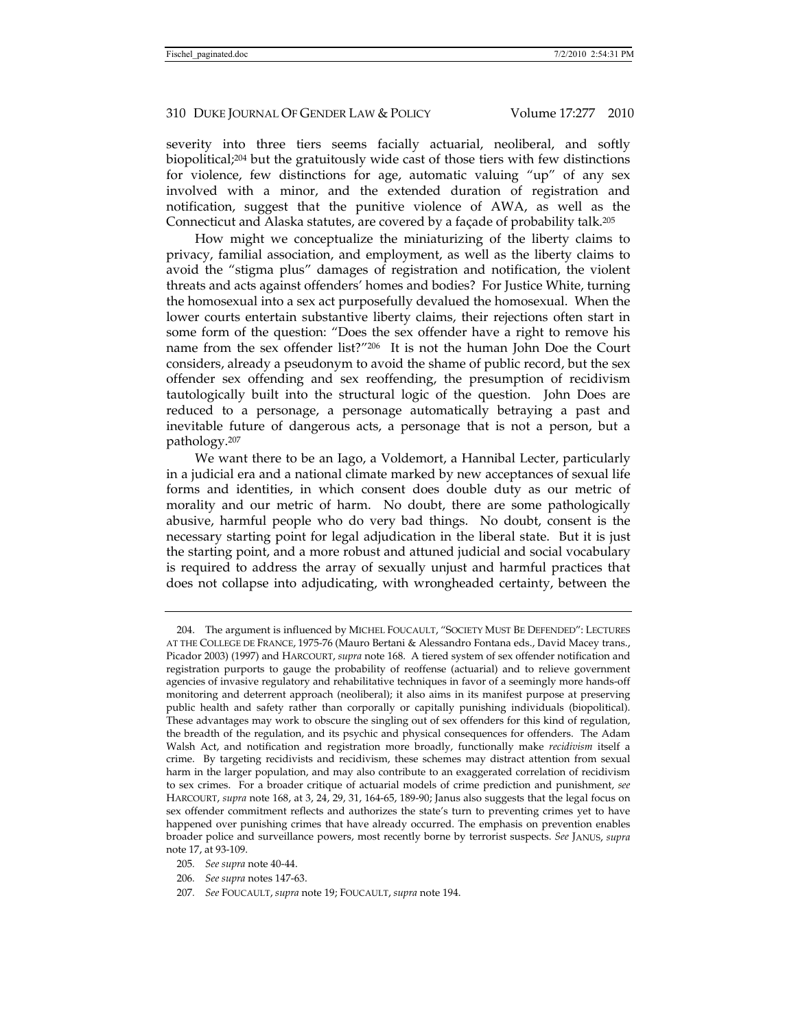severity into three tiers seems facially actuarial, neoliberal, and softly biopolitical;204 but the gratuitously wide cast of those tiers with few distinctions for violence, few distinctions for age, automatic valuing "up" of any sex involved with a minor, and the extended duration of registration and notification, suggest that the punitive violence of AWA, as well as the Connecticut and Alaska statutes, are covered by a façade of probability talk.205

How might we conceptualize the miniaturizing of the liberty claims to privacy, familial association, and employment, as well as the liberty claims to avoid the "stigma plus" damages of registration and notification, the violent threats and acts against offenders' homes and bodies? For Justice White, turning the homosexual into a sex act purposefully devalued the homosexual. When the lower courts entertain substantive liberty claims, their rejections often start in some form of the question: "Does the sex offender have a right to remove his name from the sex offender list?"206 It is not the human John Doe the Court considers, already a pseudonym to avoid the shame of public record, but the sex offender sex offending and sex reoffending, the presumption of recidivism tautologically built into the structural logic of the question. John Does are reduced to a personage, a personage automatically betraying a past and inevitable future of dangerous acts, a personage that is not a person, but a pathology.207

We want there to be an Iago, a Voldemort, a Hannibal Lecter, particularly in a judicial era and a national climate marked by new acceptances of sexual life forms and identities, in which consent does double duty as our metric of morality and our metric of harm. No doubt, there are some pathologically abusive, harmful people who do very bad things. No doubt, consent is the necessary starting point for legal adjudication in the liberal state. But it is just the starting point, and a more robust and attuned judicial and social vocabulary is required to address the array of sexually unjust and harmful practices that does not collapse into adjudicating, with wrongheaded certainty, between the

 <sup>204.</sup> The argument is influenced by MICHEL FOUCAULT, "SOCIETY MUST BE DEFENDED": LECTURES AT THE COLLEGE DE FRANCE, 1975-76 (Mauro Bertani & Alessandro Fontana eds., David Macey trans., Picador 2003) (1997) and HARCOURT, *supra* note 168. A tiered system of sex offender notification and registration purports to gauge the probability of reoffense (actuarial) and to relieve government agencies of invasive regulatory and rehabilitative techniques in favor of a seemingly more hands-off monitoring and deterrent approach (neoliberal); it also aims in its manifest purpose at preserving public health and safety rather than corporally or capitally punishing individuals (biopolitical). These advantages may work to obscure the singling out of sex offenders for this kind of regulation, the breadth of the regulation, and its psychic and physical consequences for offenders. The Adam Walsh Act, and notification and registration more broadly, functionally make *recidivism* itself a crime. By targeting recidivists and recidivism, these schemes may distract attention from sexual harm in the larger population, and may also contribute to an exaggerated correlation of recidivism to sex crimes. For a broader critique of actuarial models of crime prediction and punishment, *see*  HARCOURT, *supra* note 168, at 3, 24, 29, 31, 164-65, 189-90; Janus also suggests that the legal focus on sex offender commitment reflects and authorizes the state's turn to preventing crimes yet to have happened over punishing crimes that have already occurred. The emphasis on prevention enables broader police and surveillance powers, most recently borne by terrorist suspects. *See* JANUS, *supra*  note 17, at 93-109.

<sup>205</sup>*. See supra* note 40-44.

<sup>206</sup>*. See supra* notes 147-63.

<sup>207</sup>*. See* FOUCAULT, *supra* note 19; FOUCAULT, *supra* note 194.